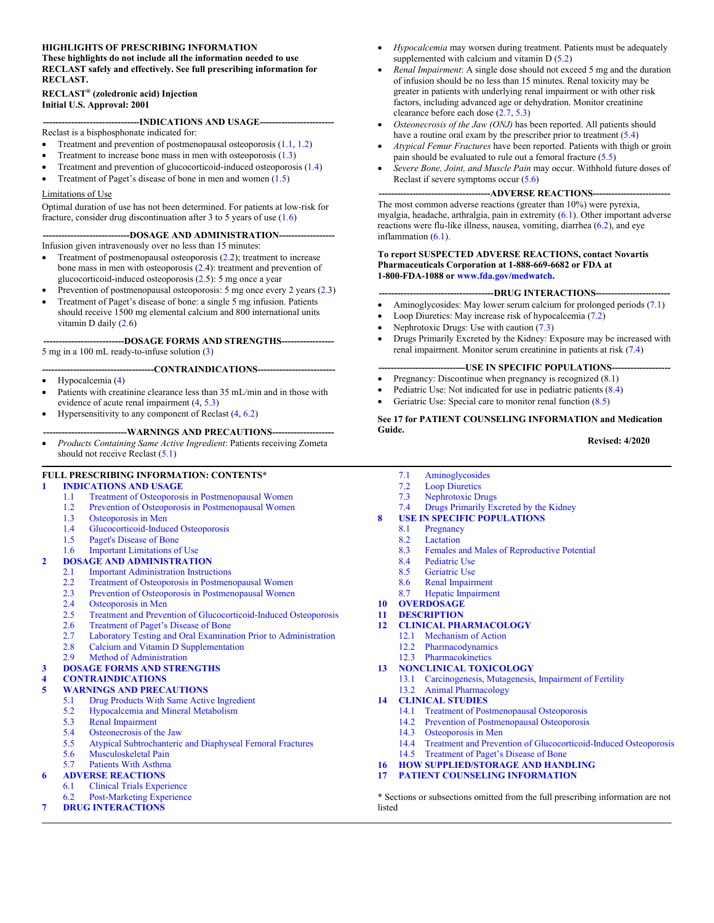#### **HIGHLIGHTS OF PRESCRIBING INFORMATION**

**These highlights do not include all the information needed to use RECLAST safely and effectively. See full prescribing information for RECLAST.**

#### **RECLAST® (zoledronic acid) Injection Initial U.S. Approval: 2001**

#### **-------------------------------INDICATIONS AND USAGE------------------------**

Reclast is a bisphosphonate indicated for:

- Treatment and prevention of postmenopausal osteoporosis  $(1.1, 1.2)$  $(1.1, 1.2)$  $(1.1, 1.2)$  $(1.1, 1.2)$
- Treatment to increase bone mass in men with osteoporosis [\(1.3](#page-1-0))
- Treatment and prevention of glucocorticoid-induced osteoporosis ([1.4\)](#page-1-0)
- Treatment of Paget's disease of bone in men and women ([1.5\)](#page-1-0)

#### Limitations of Use

Optimal duration of use has not been determined. For patients at low-risk for fracture, consider drug discontinuation after 3 to 5 years of use ([1.6\)](#page-1-0)

#### **----------------------------DOSAGE AND ADMINISTRATION------------------** Infusion given intravenously over no less than 15 minutes:

- Treatment of postmenopausal osteoporosis [\(2.](#page-1-0)2); treatment to increase bone mass in men with osteoporosis [\(2.](#page-1-0)4): treatment and prevention of glucocorticoid-induced osteoporosis [\(2.](#page-1-0)5): 5 mg once a year
- Prevention of postmenopausal osteoporosis: 5 mg once every 2 years [\(2.](#page-1-0)3)
- Treatment of Paget's disease of bone: a single 5 mg infusion. Patients should receive 1500 mg elemental calcium and 800 international units vitamin D daily [\(2.](#page-2-0)6)

#### **--------------------------DOSAGE FORMS AND STRENGTHS-----------------**

5 mg in a 100 mL ready-to-infuse solution [\(3](#page-2-0))

#### **------------------------------------CONTRAINDICATIONS-------------------------**

- Hypocalcemia [\(4](#page-2-0))
- Patients with creatinine clearance less than 35 mL/min and in those with evidence of acute renal impairment [\(4](#page-2-0), [5.3](#page-3-0))
- Hypersensitivity to any component of Reclast ([4,](#page-2-0) [6.2\)](#page-12-0)

#### **---------------------------WARNINGS AND PRECAUTIONS--------------------**

 *Products Containing Same Active Ingredient*: Patients receiving Zometa should not receive Reclast ([5.1\)](#page-3-0)

#### **FULL PRESCRIBING INFORMATION: CONTENTS\***

- **1 [INDICATIONS AND USAGE](#page-1-0)**
	- 1.1 Treatment of Osteoporosis in [Postmenopausal](#page-1-0) Women
	- 1.2 Prevention of Osteoporosis in [Postmenopausal](#page-1-0) Women<br>1.3 Osteoporosis in Men
	- [Osteoporosis](#page-1-0) in Men
	- 1.4 [Glucocorticoid-Induced](#page-1-0) Osteoporosis
	- 1.5 Paget's [Disease](#page-1-0) of Bone
	- 1.6 Important [Limitations](#page-1-0) of Use

#### **2 DOSAGE AND [ADMINISTRATION](#page-1-0)**

- 
- 2.1 Important [Administration](#page-1-0) Instructions<br>2.2 Treatment of Osteoporosis in Postmen Treatment of Osteoporosis in [Postmenopausal](#page-1-0) Women
- 2.3 Prevention of Osteoporosis in [Postmenopausal](#page-1-0) Women
- 2.4 [Osteoporosis](#page-1-0) in Men
- 2.5 Treatment and Prevention of [Glucocorticoid-Induced Osteoporosis](#page-1-0)
- 2.6 [Treatment](#page-2-0) of Paget's Disease of Bone
- 2.7 Laboratory Testing and Oral Examination Prior to [Administration](#page-2-0)
- 2.8 Calcium and Vitamin D [Supplementation](#page-2-0)
- 2.9 Method of [Administration](#page-2-0)

#### **3 DOSAGE FORMS AND [STRENGTHS](#page-2-0)**

#### **4 [CONTRAINDICATIONS](#page-2-0)**

#### **5 WARNINGS AND [PRECAUTIONS](#page-3-0)**

- 5.1 Drug Products With Same Active [Ingredient](#page-3-0)<br>5.2 Hypocalcemia and Mineral Metabolism
- [Hypocalcemia](#page-3-0) and Mineral Metabolism
- 5.3 Renal [Impairment](#page-3-0)
- 5.4 [Osteonecrosis](#page-3-0) of the Jaw<br>5.5 Atvoical Subtrochanteric
- 5.5 Atypical [Subtrochanteric](#page-4-0) and Diaphyseal Femoral Fractures
- 5.6 [Musculoskeletal](#page-4-0) Pain
- 5.7 [Patients](#page-4-0) With Asthma
- **6 ADVERSE [REACTIONS](#page-4-0)**
	- 6.1 Clinical Trials [Experience](#page-4-0)
	- 6.2 [Post-Marketing](#page-12-0) Experience
- **7 DRUG [INTERACTIONS](#page-12-0)**
- *Hypocalcemia* may worsen during treatment. Patients must be adequately supplemented with calcium and vitamin D  $(5.2)$  $(5.2)$
- *Renal Impairment*: A single dose should not exceed 5 mg and the duration of infusion should be no less than 15 minutes. Renal toxicity may be greater in patients with underlying renal impairment or with other risk factors, including advanced age or dehydration. Monitor creatinine clearance before each dose [\(2.7](#page-2-0), [5.3](#page-3-0))
- *Osteonecrosis of the Jaw (ONJ)* has been reported. All patients should have a routine oral exam by the prescriber prior to treatment [\(5.4](#page-3-0))
- *Atypical Femur Fractures* have been reported. Patients with thigh or groin pain should be evaluated to rule out a femoral fracture ([5.5\)](#page-4-0)
- *Severe Bone, Joint, and Muscle Pain* may occur. Withhold future doses of Reclast if severe symptoms occur ([5.6\)](#page-4-0)

#### **------------------------------------ADVERSE REACTIONS-------------------------**

The most common adverse reactions (greater than 10%) were pyrexia, myalgia, headache, arthralgia, pain in extremity [\(6.1](#page-4-0)). Other important adverse reactions were flu-like illness, nausea, vomiting, diarrhea [\(6.2](#page-12-0)), and eye inflammation ([6.1\)](#page-4-0).

#### **To report SUSPECTED ADVERSE REACTIONS, contact Novartis Pharmaceuticals Corporation at 1-888-669-6682 or FDA at 1-800-FDA-1088 or [www.fda.gov/medwatch.](http://www.fda.gov/medwatch)**

#### --DRUG INTERACTIONS----

- Aminoglycosides: May lower serum calcium for prolonged periods ([7.1\)](#page-13-0)
- Loop Diuretics: May increase risk of hypocalcemia ([7.2\)](#page-13-0)
- Nephrotoxic Drugs: Use with caution [\(7.3](#page-13-0))
- Drugs Primarily Excreted by the Kidney: Exposure may be increased with renal impairment. Monitor serum creatinine in patients at risk [\(7.4](#page-13-0))

#### **------USE IN SPECIFIC POPULATIONS----**

- Pregnancy: Discontinue when pregnancy is recognized  $(8.1)$
- Pediatric Use: Not indicated for use in pediatric patients ([8.4\)](#page-14-0)
- Geriatric Use: Special care to monitor renal function  $(8.5)$  $(8.5)$

#### **See 17 for PATIENT COUNSELING INFORMATION and Medication Guide.**

#### **Revised: 4/2020**

- 7.1 [Aminoglycosides](#page-13-0)
- 7.2 Loop [Diuretics](#page-13-0)
- 7.3 [Nephrotoxic](#page-13-0) Drugs
- 7.4 Drugs [Primarily](#page-13-0) Excreted by the Kidney
- **8 USE IN SPECIFIC [POPULATIONS](#page-13-0)**
	- 8.1 [Pregnancy](#page-13-0)
		-
		- 8.2 [Lactation](#page-14-0)<br>8.3 Females a Females and Males of [Reproductive](#page-14-0) Potential
		- 8.4 [Pediatric](#page-14-0) Use
		- 8.5 [Geriatric](#page-14-0) Use
		- 8.6 Renal [Impairment](#page-15-0)
		- 8.7 Hepatic [Impairment](#page-15-0)
- **10 [OVERDOSAGE](#page-15-0)**
- **11 [DESCRIPTION](#page-15-0)**

listed

- **12 CLINICAL [PHARMACOLOGY](#page-15-0)**
	- 12.1 [Mechanism](#page-15-0) of Action
	- 12.2 [Pharmacodynamics](#page-15-0)
	- 12.3 [Pharmacokinetics](#page-16-0)
- **13 [NONCLINICAL](#page-17-0) TOXICOLOGY**
	- 13.1 Carcinogenesis, Mutagenesis, [Impairment of Fertility](#page-17-0) 13.2 Animal [Pharmacology](#page-17-0)

### **14 [CLINICAL](#page-17-0) STUDIES**

- 14.1 Treatment of [Postmenopausal](#page-17-0) Osteoporosis
- 14.2 Prevention of [Postmenopausal](#page-20-0) Osteoporosis
- 14.3 [Osteoporosis](#page-20-0) in Men
- 14.4 Treatment and Prevention of [Glucocorticoid-Induced Osteoporosis](#page-21-0)

\* Sections or subsections omitted from the full prescribing information are not

14.5 [Treatment](#page-21-0) of Paget's Disease of Bone **16 HOW [SUPPLIED/STORAGE](#page-22-0) AND HANDLING 17 PATIENT COUNSELING [INFORMATION](#page-22-0)**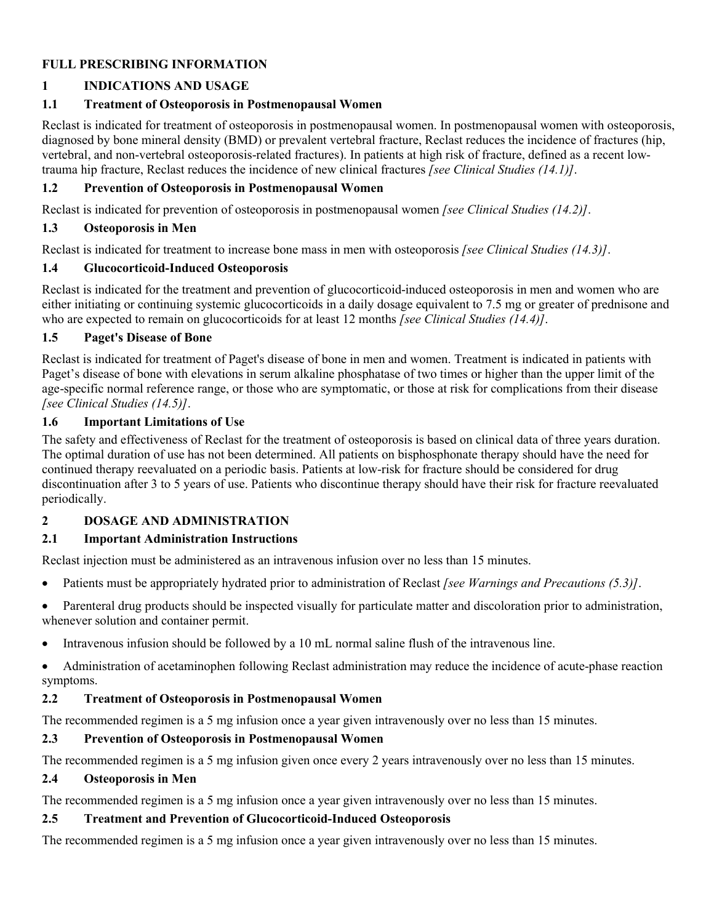## <span id="page-1-0"></span>**FULL PRESCRIBING INFORMATION**

## **1 INDICATIONS AND USAGE**

## **1.1 Treatment of Osteoporosis in Postmenopausal Women**

Reclast is indicated for treatment of osteoporosis in postmenopausal women. In postmenopausal women with osteoporosis, diagnosed by bone mineral density (BMD) or prevalent vertebral fracture, Reclast reduces the incidence of fractures (hip, vertebral, and non-vertebral osteoporosis-related fractures). In patients at high risk of fracture, defined as a recent lowtrauma hip fracture, Reclast reduces the incidence of new clinical fractures *[see Clinical Studies (14.1)]*.

### **1.2 Prevention of Osteoporosis in Postmenopausal Women**

Reclast is indicated for prevention of osteoporosis in postmenopausal women *[see Clinical Studies (14.2)]*.

### **1.3 Osteoporosis in Men**

Reclast is indicated for treatment to increase bone mass in men with osteoporosis *[see Clinical Studies (14.3)]*.

## **1.4 Glucocorticoid-Induced Osteoporosis**

Reclast is indicated for the treatment and prevention of glucocorticoid-induced osteoporosis in men and women who are either initiating or continuing systemic glucocorticoids in a daily dosage equivalent to 7.5 mg or greater of prednisone and who are expected to remain on glucocorticoids for at least 12 months *[see Clinical Studies (14.4)]*.

## **1.5 Paget's Disease of Bone**

Reclast is indicated for treatment of Paget's disease of bone in men and women. Treatment is indicated in patients with Paget's disease of bone with elevations in serum alkaline phosphatase of two times or higher than the upper limit of the age-specific normal reference range, or those who are symptomatic, or those at risk for complications from their disease *[see Clinical Studies (14.5)]*.

### **1.6 Important Limitations of Use**

The safety and effectiveness of Reclast for the treatment of osteoporosis is based on clinical data of three years duration. The optimal duration of use has not been determined. All patients on bisphosphonate therapy should have the need for continued therapy reevaluated on a periodic basis. Patients at low-risk for fracture should be considered for drug discontinuation after 3 to 5 years of use. Patients who discontinue therapy should have their risk for fracture reevaluated periodically.

## **2 DOSAGE AND ADMINISTRATION**

## **2.1 Important Administration Instructions**

Reclast injection must be administered as an intravenous infusion over no less than 15 minutes.

- Patients must be appropriately hydrated prior to administration of Reclast *[see Warnings and Precautions (5.3)]*.
- Parenteral drug products should be inspected visually for particulate matter and discoloration prior to administration, whenever solution and container permit.
- Intravenous infusion should be followed by a 10 mL normal saline flush of the intravenous line.
- Administration of acetaminophen following Reclast administration may reduce the incidence of acute-phase reaction symptoms.

## **2.2 Treatment of Osteoporosis in Postmenopausal Women**

The recommended regimen is a 5 mg infusion once a year given intravenously over no less than 15 minutes.

## **2.3 Prevention of Osteoporosis in Postmenopausal Women**

The recommended regimen is a 5 mg infusion given once every 2 years intravenously over no less than 15 minutes.

## **2.4 Osteoporosis in Men**

The recommended regimen is a 5 mg infusion once a year given intravenously over no less than 15 minutes.

## **2.5 Treatment and Prevention of Glucocorticoid-Induced Osteoporosis**

The recommended regimen is a 5 mg infusion once a year given intravenously over no less than 15 minutes.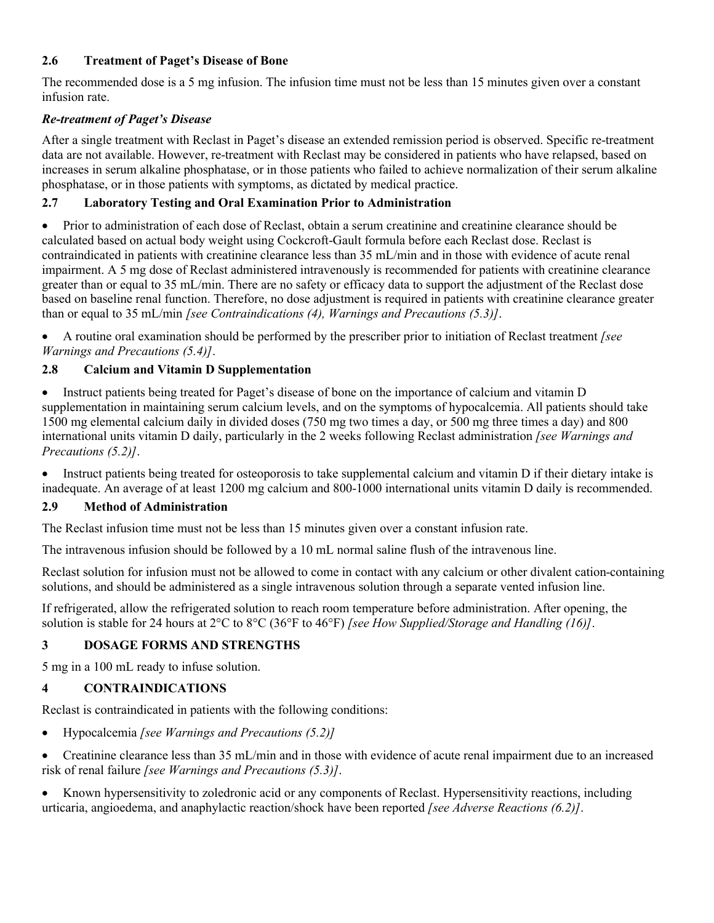### <span id="page-2-0"></span>**2.6 Treatment of Paget's Disease of Bone**

The recommended dose is a 5 mg infusion. The infusion time must not be less than 15 minutes given over a constant infusion rate.

## *Re-treatment of Paget's Disease*

After a single treatment with Reclast in Paget's disease an extended remission period is observed. Specific re-treatment data are not available. However, re-treatment with Reclast may be considered in patients who have relapsed, based on increases in serum alkaline phosphatase, or in those patients who failed to achieve normalization of their serum alkaline phosphatase, or in those patients with symptoms, as dictated by medical practice.

## **2.7 Laboratory Testing and Oral Examination Prior to Administration**

• Prior to administration of each dose of Reclast, obtain a serum creatinine and creatinine clearance should be calculated based on actual body weight using Cockcroft-Gault formula before each Reclast dose. Reclast is contraindicated in patients with creatinine clearance less than 35 mL/min and in those with evidence of acute renal impairment. A 5 mg dose of Reclast administered intravenously is recommended for patients with creatinine clearance greater than or equal to 35 mL/min. There are no safety or efficacy data to support the adjustment of the Reclast dose based on baseline renal function. Therefore, no dose adjustment is required in patients with creatinine clearance greater than or equal to 35 mL/min *[see Contraindications (4), Warnings and Precautions (5.3)]*.

 A routine oral examination should be performed by the prescriber prior to initiation of Reclast treatment *[see Warnings and Precautions (5.4)]*.

## **2.8 Calcium and Vitamin D Supplementation**

 Instruct patients being treated for Paget's disease of bone on the importance of calcium and vitamin D supplementation in maintaining serum calcium levels, and on the symptoms of hypocalcemia. All patients should take 1500 mg elemental calcium daily in divided doses (750 mg two times a day, or 500 mg three times a day) and 800 international units vitamin D daily, particularly in the 2 weeks following Reclast administration *[see Warnings and Precautions (5.2)]*.

 Instruct patients being treated for osteoporosis to take supplemental calcium and vitamin D if their dietary intake is inadequate. An average of at least 1200 mg calcium and 800-1000 international units vitamin D daily is recommended.

## **2.9 Method of Administration**

The Reclast infusion time must not be less than 15 minutes given over a constant infusion rate.

The intravenous infusion should be followed by a 10 mL normal saline flush of the intravenous line.

Reclast solution for infusion must not be allowed to come in contact with any calcium or other divalent cation-containing solutions, and should be administered as a single intravenous solution through a separate vented infusion line.

If refrigerated, allow the refrigerated solution to reach room temperature before administration. After opening, the solution is stable for 24 hours at 2°C to 8°C (36°F to 46°F) *[see How Supplied/Storage and Handling (16)]*.

## **3 DOSAGE FORMS AND STRENGTHS**

5 mg in a 100 mL ready to infuse solution.

## **4 CONTRAINDICATIONS**

Reclast is contraindicated in patients with the following conditions:

- Hypocalcemia *[see Warnings and Precautions (5.2)]*
- Creatinine clearance less than 35 mL/min and in those with evidence of acute renal impairment due to an increased risk of renal failure *[see Warnings and Precautions (5.3)]*.
- Known hypersensitivity to zoledronic acid or any components of Reclast. Hypersensitivity reactions, including urticaria, angioedema, and anaphylactic reaction/shock have been reported *[see Adverse Reactions (6.2)]*.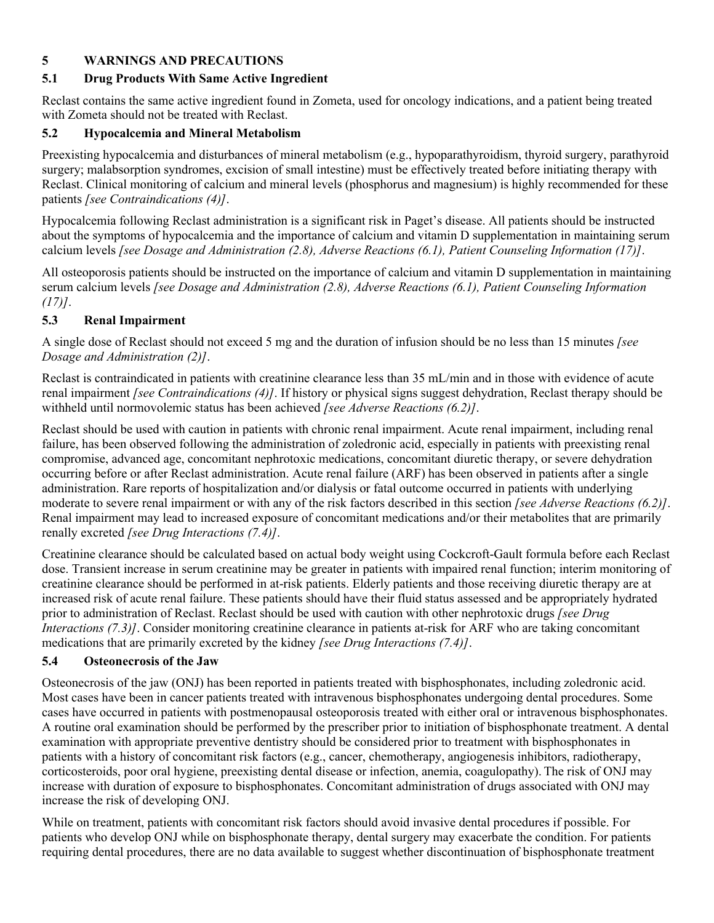#### <span id="page-3-0"></span>**5 WARNINGS AND PRECAUTIONS**

#### **5.1 Drug Products With Same Active Ingredient**

Reclast contains the same active ingredient found in Zometa, used for oncology indications, and a patient being treated with Zometa should not be treated with Reclast.

#### **5.2 Hypocalcemia and Mineral Metabolism**

Preexisting hypocalcemia and disturbances of mineral metabolism (e.g., hypoparathyroidism, thyroid surgery, parathyroid surgery; malabsorption syndromes, excision of small intestine) must be effectively treated before initiating therapy with Reclast. Clinical monitoring of calcium and mineral levels (phosphorus and magnesium) is highly recommended for these patients *[see Contraindications (4)]*.

Hypocalcemia following Reclast administration is a significant risk in Paget's disease. All patients should be instructed about the symptoms of hypocalcemia and the importance of calcium and vitamin D supplementation in maintaining serum calcium levels *[see Dosage and Administration (2.8), Adverse Reactions (6.1), Patient Counseling Information (17)*].

All osteoporosis patients should be instructed on the importance of calcium and vitamin D supplementation in maintaining serum calcium levels *[see Dosage and Administration (2.8), Adverse Reactions (6.1), Patient Counseling Information (17)]*.

## **5.3 Renal Impairment**

A single dose of Reclast should not exceed 5 mg and the duration of infusion should be no less than 15 minutes *[see Dosage and Administration (2)]*.

Reclast is contraindicated in patients with creatinine clearance less than 35 mL/min and in those with evidence of acute renal impairment *[see Contraindications (4)]*. If history or physical signs suggest dehydration, Reclast therapy should be withheld until normovolemic status has been achieved *[see Adverse Reactions (6.2)]*.

Reclast should be used with caution in patients with chronic renal impairment. Acute renal impairment, including renal failure, has been observed following the administration of zoledronic acid, especially in patients with preexisting renal compromise, advanced age, concomitant nephrotoxic medications, concomitant diuretic therapy, or severe dehydration occurring before or after Reclast administration. Acute renal failure (ARF) has been observed in patients after a single administration. Rare reports of hospitalization and/or dialysis or fatal outcome occurred in patients with underlying moderate to severe renal impairment or with any of the risk factors described in this section *[see Adverse Reactions (6.2)]*. Renal impairment may lead to increased exposure of concomitant medications and/or their metabolites that are primarily renally excreted *[see Drug Interactions (7.4)]*.

Creatinine clearance should be calculated based on actual body weight using Cockcroft-Gault formula before each Reclast dose. Transient increase in serum creatinine may be greater in patients with impaired renal function; interim monitoring of creatinine clearance should be performed in at-risk patients. Elderly patients and those receiving diuretic therapy are at increased risk of acute renal failure. These patients should have their fluid status assessed and be appropriately hydrated prior to administration of Reclast. Reclast should be used with caution with other nephrotoxic drugs *[see Drug Interactions (7.3)]*. Consider monitoring creatinine clearance in patients at-risk for ARF who are taking concomitant medications that are primarily excreted by the kidney *[see Drug Interactions (7.4)]*.

## **5.4 Osteonecrosis of the Jaw**

Osteonecrosis of the jaw (ONJ) has been reported in patients treated with bisphosphonates, including zoledronic acid. Most cases have been in cancer patients treated with intravenous bisphosphonates undergoing dental procedures. Some cases have occurred in patients with postmenopausal osteoporosis treated with either oral or intravenous bisphosphonates. A routine oral examination should be performed by the prescriber prior to initiation of bisphosphonate treatment. A dental examination with appropriate preventive dentistry should be considered prior to treatment with bisphosphonates in patients with a history of concomitant risk factors (e.g., cancer, chemotherapy, angiogenesis inhibitors, radiotherapy, corticosteroids, poor oral hygiene, preexisting dental disease or infection, anemia, coagulopathy). The risk of ONJ may increase with duration of exposure to bisphosphonates. Concomitant administration of drugs associated with ONJ may increase the risk of developing ONJ.

While on treatment, patients with concomitant risk factors should avoid invasive dental procedures if possible. For patients who develop ONJ while on bisphosphonate therapy, dental surgery may exacerbate the condition. For patients requiring dental procedures, there are no data available to suggest whether discontinuation of bisphosphonate treatment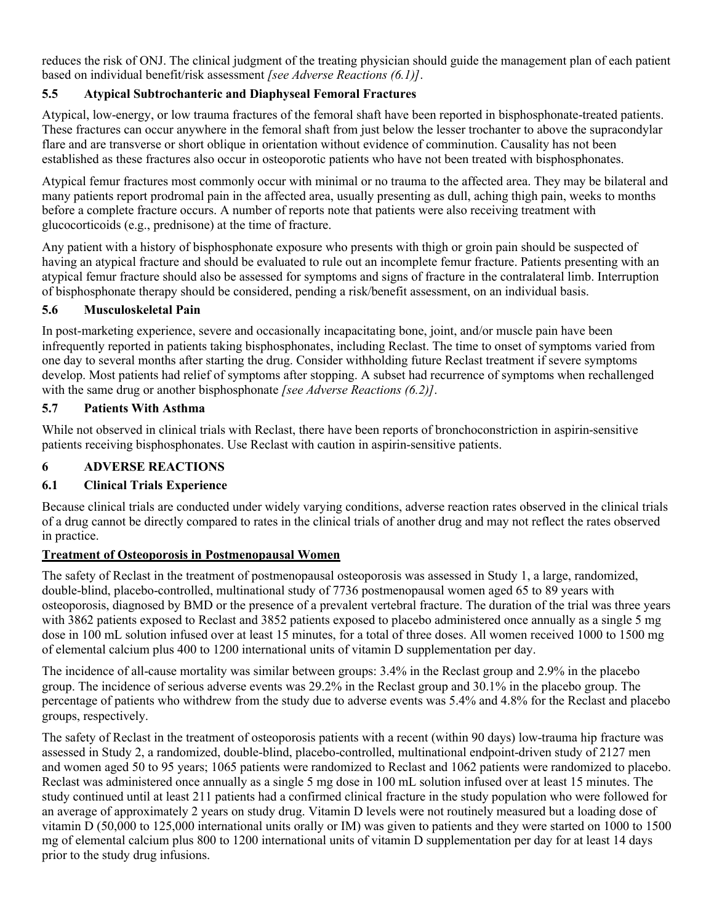<span id="page-4-0"></span>reduces the risk of ONJ. The clinical judgment of the treating physician should guide the management plan of each patient based on individual benefit/risk assessment *[see Adverse Reactions (6.1)]*.

## **5.5 Atypical Subtrochanteric and Diaphyseal Femoral Fractures**

Atypical, low-energy, or low trauma fractures of the femoral shaft have been reported in bisphosphonate-treated patients. These fractures can occur anywhere in the femoral shaft from just below the lesser trochanter to above the supracondylar flare and are transverse or short oblique in orientation without evidence of comminution. Causality has not been established as these fractures also occur in osteoporotic patients who have not been treated with bisphosphonates.

Atypical femur fractures most commonly occur with minimal or no trauma to the affected area. They may be bilateral and many patients report prodromal pain in the affected area, usually presenting as dull, aching thigh pain, weeks to months before a complete fracture occurs. A number of reports note that patients were also receiving treatment with glucocorticoids (e.g., prednisone) at the time of fracture.

Any patient with a history of bisphosphonate exposure who presents with thigh or groin pain should be suspected of having an atypical fracture and should be evaluated to rule out an incomplete femur fracture. Patients presenting with an atypical femur fracture should also be assessed for symptoms and signs of fracture in the contralateral limb. Interruption of bisphosphonate therapy should be considered, pending a risk/benefit assessment, on an individual basis.

### **5.6 Musculoskeletal Pain**

In post-marketing experience, severe and occasionally incapacitating bone, joint, and/or muscle pain have been infrequently reported in patients taking bisphosphonates, including Reclast. The time to onset of symptoms varied from one day to several months after starting the drug. Consider withholding future Reclast treatment if severe symptoms develop. Most patients had relief of symptoms after stopping. A subset had recurrence of symptoms when rechallenged with the same drug or another bisphosphonate *[see Adverse Reactions (6.2)]*.

#### **5.7 Patients With Asthma**

While not observed in clinical trials with Reclast, there have been reports of bronchoconstriction in aspirin-sensitive patients receiving bisphosphonates. Use Reclast with caution in aspirin-sensitive patients.

#### **6 ADVERSE REACTIONS**

## **6.1 Clinical Trials Experience**

Because clinical trials are conducted under widely varying conditions, adverse reaction rates observed in the clinical trials of a drug cannot be directly compared to rates in the clinical trials of another drug and may not reflect the rates observed in practice.

#### **Treatment of Osteoporosis in Postmenopausal Women**

The safety of Reclast in the treatment of postmenopausal osteoporosis was assessed in Study 1, a large, randomized, double-blind, placebo-controlled, multinational study of 7736 postmenopausal women aged 65 to 89 years with osteoporosis, diagnosed by BMD or the presence of a prevalent vertebral fracture. The duration of the trial was three years with 3862 patients exposed to Reclast and 3852 patients exposed to placebo administered once annually as a single 5 mg dose in 100 mL solution infused over at least 15 minutes, for a total of three doses. All women received 1000 to 1500 mg of elemental calcium plus 400 to 1200 international units of vitamin D supplementation per day.

The incidence of all-cause mortality was similar between groups: 3.4% in the Reclast group and 2.9% in the placebo group. The incidence of serious adverse events was 29.2% in the Reclast group and 30.1% in the placebo group. The percentage of patients who withdrew from the study due to adverse events was 5.4% and 4.8% for the Reclast and placebo groups, respectively.

The safety of Reclast in the treatment of osteoporosis patients with a recent (within 90 days) low-trauma hip fracture was assessed in Study 2, a randomized, double-blind, placebo-controlled, multinational endpoint-driven study of 2127 men and women aged 50 to 95 years; 1065 patients were randomized to Reclast and 1062 patients were randomized to placebo. Reclast was administered once annually as a single 5 mg dose in 100 mL solution infused over at least 15 minutes. The study continued until at least 211 patients had a confirmed clinical fracture in the study population who were followed for an average of approximately 2 years on study drug. Vitamin D levels were not routinely measured but a loading dose of vitamin D (50,000 to 125,000 international units orally or IM) was given to patients and they were started on 1000 to 1500 mg of elemental calcium plus 800 to 1200 international units of vitamin D supplementation per day for at least 14 days prior to the study drug infusions.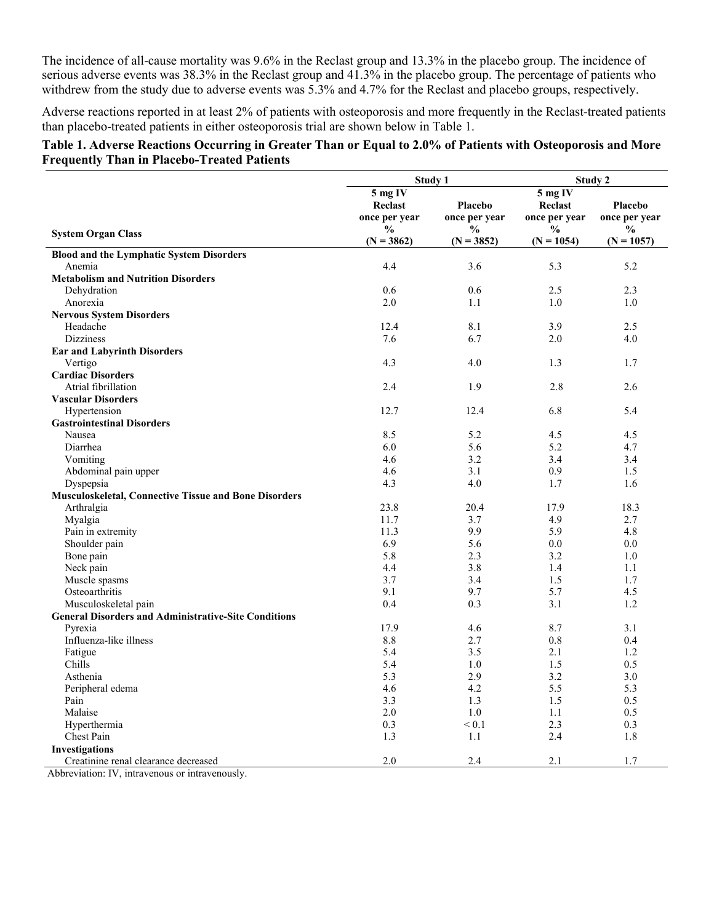The incidence of all-cause mortality was 9.6% in the Reclast group and 13.3% in the placebo group. The incidence of serious adverse events was 38.3% in the Reclast group and 41.3% in the placebo group. The percentage of patients who withdrew from the study due to adverse events was 5.3% and 4.7% for the Reclast and placebo groups, respectively.

Adverse reactions reported in at least 2% of patients with osteoporosis and more frequently in the Reclast-treated patients than placebo-treated patients in either osteoporosis trial are shown below in Table 1.

#### **Table 1. Adverse Reactions Occurring in Greater Than or Equal to 2.0% of Patients with Osteoporosis and More Frequently Than in Placebo-Treated Patients**

|                                                              | Study 1                                      |                               | Study 2                                         |                               |
|--------------------------------------------------------------|----------------------------------------------|-------------------------------|-------------------------------------------------|-------------------------------|
|                                                              | $5$ mg IV<br><b>Reclast</b><br>once per year | Placebo<br>once per year      | $\frac{1}{5}$ mg IV<br>Reclast<br>once per year | Placebo<br>once per year      |
| <b>System Organ Class</b>                                    | $\frac{0}{0}$<br>$(N = 3862)$                | $\frac{0}{0}$<br>$(N = 3852)$ | $\frac{0}{0}$<br>$(N = 1054)$                   | $\frac{0}{0}$<br>$(N = 1057)$ |
| <b>Blood and the Lymphatic System Disorders</b>              |                                              |                               |                                                 |                               |
| Anemia                                                       | 4.4                                          | 3.6                           | 5.3                                             | 5.2                           |
| <b>Metabolism and Nutrition Disorders</b>                    |                                              |                               |                                                 |                               |
| Dehydration                                                  | 0.6                                          | 0.6                           | 2.5                                             | 2.3                           |
| Anorexia                                                     | 2.0                                          | 1.1                           | 1.0                                             | 1.0                           |
| <b>Nervous System Disorders</b>                              |                                              |                               |                                                 |                               |
| Headache                                                     | 12.4                                         | 8.1                           | 3.9                                             | 2.5                           |
| <b>Dizziness</b>                                             | 7.6                                          | 6.7                           | 2.0                                             | 4.0                           |
| <b>Ear and Labyrinth Disorders</b>                           |                                              |                               |                                                 |                               |
| Vertigo                                                      | 4.3                                          | 4.0                           | 1.3                                             | 1.7                           |
| <b>Cardiac Disorders</b>                                     |                                              |                               |                                                 |                               |
| Atrial fibrillation                                          | 2.4                                          | 1.9                           | 2.8                                             | 2.6                           |
| <b>Vascular Disorders</b>                                    |                                              |                               |                                                 |                               |
| Hypertension                                                 | 12.7                                         | 12.4                          | 6.8                                             | 5.4                           |
| <b>Gastrointestinal Disorders</b>                            |                                              |                               |                                                 |                               |
| Nausea                                                       | 8.5                                          | 5.2                           | 4.5                                             | 4.5                           |
| Diarrhea                                                     | 6.0                                          | 5.6                           | 5.2                                             | 4.7                           |
| Vomiting                                                     | 4.6                                          | 3.2                           | 3.4                                             | 3.4                           |
| Abdominal pain upper                                         | 4.6                                          | 3.1                           | 0.9                                             | 1.5                           |
| Dyspepsia                                                    | 4.3                                          | 4.0                           | 1.7                                             | 1.6                           |
| <b>Musculoskeletal, Connective Tissue and Bone Disorders</b> |                                              |                               |                                                 |                               |
| Arthralgia                                                   | 23.8                                         | 20.4                          | 17.9                                            | 18.3                          |
| Myalgia                                                      | 11.7                                         | 3.7                           | 4.9                                             | 2.7                           |
| Pain in extremity                                            | 11.3                                         | 9.9                           | 5.9                                             | 4.8                           |
| Shoulder pain                                                | 6.9                                          | 5.6                           | 0.0                                             | 0.0                           |
| Bone pain                                                    | 5.8                                          | 2.3                           | 3.2                                             | 1.0                           |
| Neck pain                                                    | 4.4                                          | 3.8                           | 1.4                                             | 1.1                           |
| Muscle spasms                                                | 3.7                                          | 3.4                           | 1.5                                             | 1.7                           |
| Osteoarthritis                                               | 9.1                                          | 9.7                           | 5.7                                             | 4.5                           |
| Musculoskeletal pain                                         | 0.4                                          | 0.3                           | 3.1                                             | 1.2                           |
| <b>General Disorders and Administrative-Site Conditions</b>  |                                              |                               |                                                 |                               |
| Pyrexia                                                      | 17.9                                         | 4.6                           | 8.7                                             | 3.1                           |
| Influenza-like illness                                       | 8.8                                          | 2.7                           | 0.8                                             | 0.4                           |
| Fatigue                                                      | 5.4                                          | 3.5                           | 2.1                                             | 1.2                           |
| Chills                                                       | 5.4                                          | 1.0                           | 1.5                                             | 0.5                           |
| Asthenia                                                     | 5.3                                          | 2.9                           | 3.2                                             | 3.0                           |
| Peripheral edema                                             | 4.6                                          | 4.2                           | 5.5                                             | 5.3                           |
| Pain                                                         | 3.3                                          | 1.3                           | 1.5                                             | 0.5                           |
| Malaise                                                      | 2.0                                          | 1.0                           | 1.1                                             | 0.5                           |
| Hyperthermia                                                 | 0.3                                          | ${}_{0.1}$                    | 2.3                                             | 0.3                           |
| Chest Pain                                                   | 1.3                                          | 1.1                           | 2.4                                             | 1.8                           |
| Investigations                                               |                                              |                               |                                                 |                               |
| Creatinine renal clearance decreased                         | 2.0                                          | 2.4                           | 2.1                                             | 1.7                           |
|                                                              |                                              |                               |                                                 |                               |

Abbreviation: IV, intravenous or intravenously.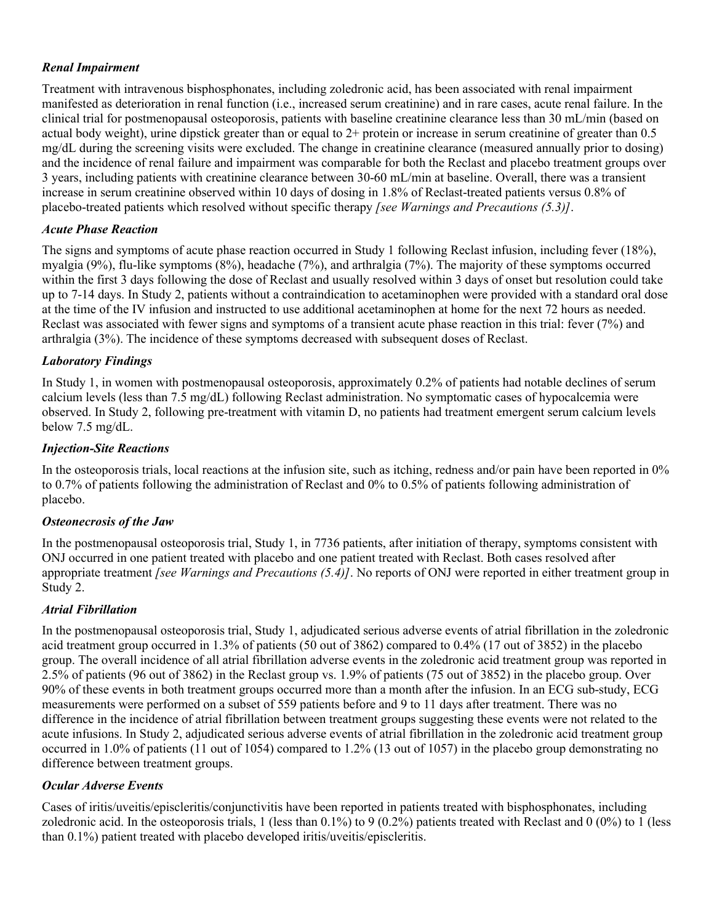#### *Renal Impairment*

Treatment with intravenous bisphosphonates, including zoledronic acid, has been associated with renal impairment manifested as deterioration in renal function (i.e., increased serum creatinine) and in rare cases, acute renal failure. In the clinical trial for postmenopausal osteoporosis, patients with baseline creatinine clearance less than 30 mL/min (based on actual body weight), urine dipstick greater than or equal to 2+ protein or increase in serum creatinine of greater than 0.5 mg/dL during the screening visits were excluded. The change in creatinine clearance (measured annually prior to dosing) and the incidence of renal failure and impairment was comparable for both the Reclast and placebo treatment groups over 3 years, including patients with creatinine clearance between 30-60 mL/min at baseline. Overall, there was a transient increase in serum creatinine observed within 10 days of dosing in 1.8% of Reclast-treated patients versus 0.8% of placebo-treated patients which resolved without specific therapy *[see Warnings and Precautions (5.3)]*.

#### *Acute Phase Reaction*

The signs and symptoms of acute phase reaction occurred in Study 1 following Reclast infusion, including fever (18%), myalgia (9%), flu-like symptoms (8%), headache (7%), and arthralgia (7%). The majority of these symptoms occurred within the first 3 days following the dose of Reclast and usually resolved within 3 days of onset but resolution could take up to 7-14 days. In Study 2, patients without a contraindication to acetaminophen were provided with a standard oral dose at the time of the IV infusion and instructed to use additional acetaminophen at home for the next 72 hours as needed. Reclast was associated with fewer signs and symptoms of a transient acute phase reaction in this trial: fever (7%) and arthralgia (3%). The incidence of these symptoms decreased with subsequent doses of Reclast.

### *Laboratory Findings*

In Study 1, in women with postmenopausal osteoporosis, approximately 0.2% of patients had notable declines of serum calcium levels (less than 7.5 mg/dL) following Reclast administration. No symptomatic cases of hypocalcemia were observed. In Study 2, following pre-treatment with vitamin D, no patients had treatment emergent serum calcium levels below 7.5 mg/dL.

#### *Injection-Site Reactions*

In the osteoporosis trials, local reactions at the infusion site, such as itching, redness and/or pain have been reported in 0% to 0.7% of patients following the administration of Reclast and 0% to 0.5% of patients following administration of placebo.

#### *Osteonecrosis of the Jaw*

In the postmenopausal osteoporosis trial, Study 1, in 7736 patients, after initiation of therapy, symptoms consistent with ONJ occurred in one patient treated with placebo and one patient treated with Reclast. Both cases resolved after appropriate treatment *[see Warnings and Precautions (5.4)]*. No reports of ONJ were reported in either treatment group in Study 2.

#### *Atrial Fibrillation*

In the postmenopausal osteoporosis trial, Study 1, adjudicated serious adverse events of atrial fibrillation in the zoledronic acid treatment group occurred in 1.3% of patients (50 out of 3862) compared to 0.4% (17 out of 3852) in the placebo group. The overall incidence of all atrial fibrillation adverse events in the zoledronic acid treatment group was reported in 2.5% of patients (96 out of 3862) in the Reclast group vs. 1.9% of patients (75 out of 3852) in the placebo group. Over 90% of these events in both treatment groups occurred more than a month after the infusion. In an ECG sub-study, ECG measurements were performed on a subset of 559 patients before and 9 to 11 days after treatment. There was no difference in the incidence of atrial fibrillation between treatment groups suggesting these events were not related to the acute infusions. In Study 2, adjudicated serious adverse events of atrial fibrillation in the zoledronic acid treatment group occurred in 1.0% of patients (11 out of 1054) compared to 1.2% (13 out of 1057) in the placebo group demonstrating no difference between treatment groups.

#### *Ocular Adverse Events*

Cases of iritis/uveitis/episcleritis/conjunctivitis have been reported in patients treated with bisphosphonates, including zoledronic acid. In the osteoporosis trials, 1 (less than  $0.1\%$ ) to 9 (0.2%) patients treated with Reclast and 0 (0%) to 1 (less than 0.1%) patient treated with placebo developed iritis/uveitis/episcleritis.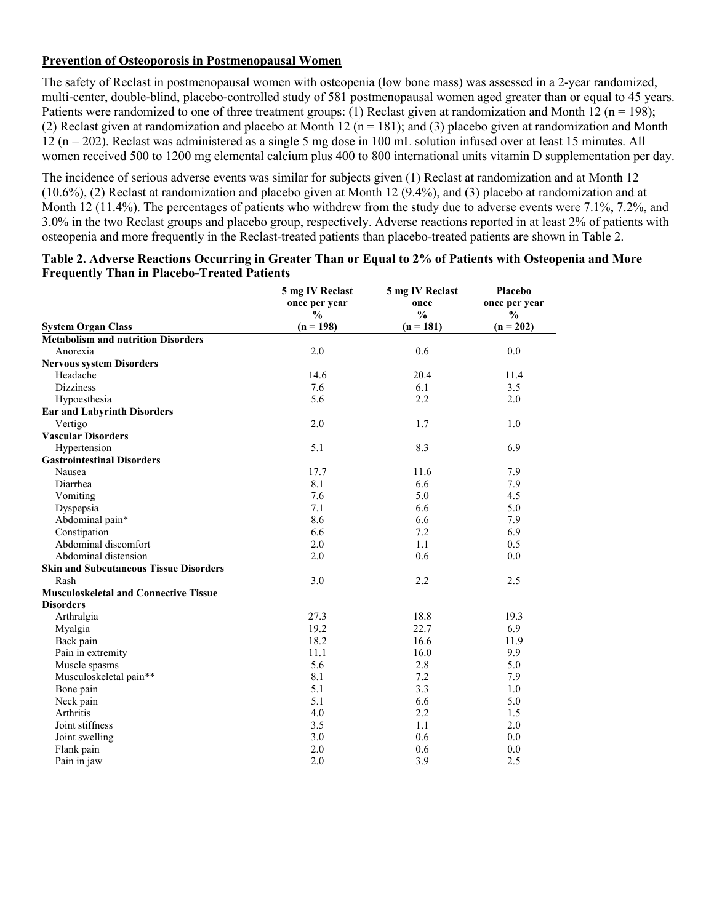### **Prevention of Osteoporosis in Postmenopausal Women**

The safety of Reclast in postmenopausal women with osteopenia (low bone mass) was assessed in a 2-year randomized, multi-center, double-blind, placebo-controlled study of 581 postmenopausal women aged greater than or equal to 45 years. Patients were randomized to one of three treatment groups: (1) Reclast given at randomization and Month 12 ( $n = 198$ ); (2) Reclast given at randomization and placebo at Month 12 ( $n = 181$ ); and (3) placebo given at randomization and Month 12 (n = 202). Reclast was administered as a single 5 mg dose in 100 mL solution infused over at least 15 minutes. All women received 500 to 1200 mg elemental calcium plus 400 to 800 international units vitamin D supplementation per day.

The incidence of serious adverse events was similar for subjects given (1) Reclast at randomization and at Month 12 (10.6%), (2) Reclast at randomization and placebo given at Month 12 (9.4%), and (3) placebo at randomization and at Month 12 (11.4%). The percentages of patients who withdrew from the study due to adverse events were 7.1%, 7.2%, and 3.0% in the two Reclast groups and placebo group, respectively. Adverse reactions reported in at least 2% of patients with osteopenia and more frequently in the Reclast-treated patients than placebo-treated patients are shown in Table 2.

| $(n = 198)$<br>$(n = 181)$<br>$(n = 202)$<br><b>System Organ Class</b><br><b>Metabolism and nutrition Disorders</b><br>2.0<br>Anorexia<br>0.6<br>0.0<br><b>Nervous system Disorders</b><br>Headache<br>14.6<br>20.4<br>11.4<br>3.5<br><b>Dizziness</b><br>7.6<br>6.1<br>5.6<br>2.2<br>2.0<br>Hypoesthesia<br><b>Ear and Labyrinth Disorders</b><br>2.0<br>1.7<br>1.0<br>Vertigo<br><b>Vascular Disorders</b><br>5.1<br>8.3<br>Hypertension<br>6.9<br><b>Gastrointestinal Disorders</b><br>17.7<br>11.6<br>7.9<br>Nausea<br>8.1<br>7.9<br>Diarrhea<br>6.6<br>7.6<br>5.0<br>4.5<br>Vomiting<br>7.1<br>6.6<br>5.0<br>Dyspepsia<br>8.6<br>Abdominal pain*<br>6.6<br>7.9<br>Constipation<br>6.6<br>7.2<br>6.9<br>Abdominal discomfort<br>2.0<br>1.1<br>0.5<br>2.0<br>Abdominal distension<br>0.6<br>0.0<br><b>Skin and Subcutaneous Tissue Disorders</b><br>3.0<br>2.2<br>2.5<br>Rash<br><b>Musculoskeletal and Connective Tissue</b><br><b>Disorders</b><br>27.3<br>18.8<br>19.3<br>Arthralgia<br>19.2<br>22.7<br>6.9<br>Myalgia<br>18.2<br>16.6<br>Back pain<br>11.9<br>Pain in extremity<br>11.1<br>16.0<br>9.9<br>5.6<br>Muscle spasms<br>2.8<br>5.0<br>8.1<br>Musculoskeletal pain**<br>7.2<br>7.9<br>5.1<br>3.3<br>Bone pain<br>1.0<br>5.1<br>Neck pain<br>6.6<br>5.0<br>Arthritis<br>4.0<br>2.2<br>1.5<br>Joint stiffness<br>3.5<br>1.1<br>2.0<br>3.0<br>0.6<br>0.0<br>Joint swelling<br>2.0<br>Flank pain<br>0.6<br>$0.0\,$ |             | 5 mg IV Reclast<br>once per year<br>$\frac{0}{0}$ | 5 mg IV Reclast<br>once<br>$\frac{0}{0}$ | Placebo<br>once per year<br>$\frac{0}{0}$ |  |
|--------------------------------------------------------------------------------------------------------------------------------------------------------------------------------------------------------------------------------------------------------------------------------------------------------------------------------------------------------------------------------------------------------------------------------------------------------------------------------------------------------------------------------------------------------------------------------------------------------------------------------------------------------------------------------------------------------------------------------------------------------------------------------------------------------------------------------------------------------------------------------------------------------------------------------------------------------------------------------------------------------------------------------------------------------------------------------------------------------------------------------------------------------------------------------------------------------------------------------------------------------------------------------------------------------------------------------------------------------------------------------------------------------------------------------|-------------|---------------------------------------------------|------------------------------------------|-------------------------------------------|--|
|                                                                                                                                                                                                                                                                                                                                                                                                                                                                                                                                                                                                                                                                                                                                                                                                                                                                                                                                                                                                                                                                                                                                                                                                                                                                                                                                                                                                                                |             |                                                   |                                          |                                           |  |
|                                                                                                                                                                                                                                                                                                                                                                                                                                                                                                                                                                                                                                                                                                                                                                                                                                                                                                                                                                                                                                                                                                                                                                                                                                                                                                                                                                                                                                |             |                                                   |                                          |                                           |  |
|                                                                                                                                                                                                                                                                                                                                                                                                                                                                                                                                                                                                                                                                                                                                                                                                                                                                                                                                                                                                                                                                                                                                                                                                                                                                                                                                                                                                                                |             |                                                   |                                          |                                           |  |
|                                                                                                                                                                                                                                                                                                                                                                                                                                                                                                                                                                                                                                                                                                                                                                                                                                                                                                                                                                                                                                                                                                                                                                                                                                                                                                                                                                                                                                |             |                                                   |                                          |                                           |  |
|                                                                                                                                                                                                                                                                                                                                                                                                                                                                                                                                                                                                                                                                                                                                                                                                                                                                                                                                                                                                                                                                                                                                                                                                                                                                                                                                                                                                                                |             |                                                   |                                          |                                           |  |
|                                                                                                                                                                                                                                                                                                                                                                                                                                                                                                                                                                                                                                                                                                                                                                                                                                                                                                                                                                                                                                                                                                                                                                                                                                                                                                                                                                                                                                |             |                                                   |                                          |                                           |  |
|                                                                                                                                                                                                                                                                                                                                                                                                                                                                                                                                                                                                                                                                                                                                                                                                                                                                                                                                                                                                                                                                                                                                                                                                                                                                                                                                                                                                                                |             |                                                   |                                          |                                           |  |
|                                                                                                                                                                                                                                                                                                                                                                                                                                                                                                                                                                                                                                                                                                                                                                                                                                                                                                                                                                                                                                                                                                                                                                                                                                                                                                                                                                                                                                |             |                                                   |                                          |                                           |  |
|                                                                                                                                                                                                                                                                                                                                                                                                                                                                                                                                                                                                                                                                                                                                                                                                                                                                                                                                                                                                                                                                                                                                                                                                                                                                                                                                                                                                                                |             |                                                   |                                          |                                           |  |
|                                                                                                                                                                                                                                                                                                                                                                                                                                                                                                                                                                                                                                                                                                                                                                                                                                                                                                                                                                                                                                                                                                                                                                                                                                                                                                                                                                                                                                |             |                                                   |                                          |                                           |  |
|                                                                                                                                                                                                                                                                                                                                                                                                                                                                                                                                                                                                                                                                                                                                                                                                                                                                                                                                                                                                                                                                                                                                                                                                                                                                                                                                                                                                                                |             |                                                   |                                          |                                           |  |
|                                                                                                                                                                                                                                                                                                                                                                                                                                                                                                                                                                                                                                                                                                                                                                                                                                                                                                                                                                                                                                                                                                                                                                                                                                                                                                                                                                                                                                |             |                                                   |                                          |                                           |  |
|                                                                                                                                                                                                                                                                                                                                                                                                                                                                                                                                                                                                                                                                                                                                                                                                                                                                                                                                                                                                                                                                                                                                                                                                                                                                                                                                                                                                                                |             |                                                   |                                          |                                           |  |
|                                                                                                                                                                                                                                                                                                                                                                                                                                                                                                                                                                                                                                                                                                                                                                                                                                                                                                                                                                                                                                                                                                                                                                                                                                                                                                                                                                                                                                |             |                                                   |                                          |                                           |  |
|                                                                                                                                                                                                                                                                                                                                                                                                                                                                                                                                                                                                                                                                                                                                                                                                                                                                                                                                                                                                                                                                                                                                                                                                                                                                                                                                                                                                                                |             |                                                   |                                          |                                           |  |
|                                                                                                                                                                                                                                                                                                                                                                                                                                                                                                                                                                                                                                                                                                                                                                                                                                                                                                                                                                                                                                                                                                                                                                                                                                                                                                                                                                                                                                |             |                                                   |                                          |                                           |  |
|                                                                                                                                                                                                                                                                                                                                                                                                                                                                                                                                                                                                                                                                                                                                                                                                                                                                                                                                                                                                                                                                                                                                                                                                                                                                                                                                                                                                                                |             |                                                   |                                          |                                           |  |
|                                                                                                                                                                                                                                                                                                                                                                                                                                                                                                                                                                                                                                                                                                                                                                                                                                                                                                                                                                                                                                                                                                                                                                                                                                                                                                                                                                                                                                |             |                                                   |                                          |                                           |  |
|                                                                                                                                                                                                                                                                                                                                                                                                                                                                                                                                                                                                                                                                                                                                                                                                                                                                                                                                                                                                                                                                                                                                                                                                                                                                                                                                                                                                                                |             |                                                   |                                          |                                           |  |
|                                                                                                                                                                                                                                                                                                                                                                                                                                                                                                                                                                                                                                                                                                                                                                                                                                                                                                                                                                                                                                                                                                                                                                                                                                                                                                                                                                                                                                |             |                                                   |                                          |                                           |  |
|                                                                                                                                                                                                                                                                                                                                                                                                                                                                                                                                                                                                                                                                                                                                                                                                                                                                                                                                                                                                                                                                                                                                                                                                                                                                                                                                                                                                                                |             |                                                   |                                          |                                           |  |
|                                                                                                                                                                                                                                                                                                                                                                                                                                                                                                                                                                                                                                                                                                                                                                                                                                                                                                                                                                                                                                                                                                                                                                                                                                                                                                                                                                                                                                |             |                                                   |                                          |                                           |  |
|                                                                                                                                                                                                                                                                                                                                                                                                                                                                                                                                                                                                                                                                                                                                                                                                                                                                                                                                                                                                                                                                                                                                                                                                                                                                                                                                                                                                                                |             |                                                   |                                          |                                           |  |
|                                                                                                                                                                                                                                                                                                                                                                                                                                                                                                                                                                                                                                                                                                                                                                                                                                                                                                                                                                                                                                                                                                                                                                                                                                                                                                                                                                                                                                |             |                                                   |                                          |                                           |  |
|                                                                                                                                                                                                                                                                                                                                                                                                                                                                                                                                                                                                                                                                                                                                                                                                                                                                                                                                                                                                                                                                                                                                                                                                                                                                                                                                                                                                                                |             |                                                   |                                          |                                           |  |
|                                                                                                                                                                                                                                                                                                                                                                                                                                                                                                                                                                                                                                                                                                                                                                                                                                                                                                                                                                                                                                                                                                                                                                                                                                                                                                                                                                                                                                |             |                                                   |                                          |                                           |  |
|                                                                                                                                                                                                                                                                                                                                                                                                                                                                                                                                                                                                                                                                                                                                                                                                                                                                                                                                                                                                                                                                                                                                                                                                                                                                                                                                                                                                                                |             |                                                   |                                          |                                           |  |
|                                                                                                                                                                                                                                                                                                                                                                                                                                                                                                                                                                                                                                                                                                                                                                                                                                                                                                                                                                                                                                                                                                                                                                                                                                                                                                                                                                                                                                |             |                                                   |                                          |                                           |  |
|                                                                                                                                                                                                                                                                                                                                                                                                                                                                                                                                                                                                                                                                                                                                                                                                                                                                                                                                                                                                                                                                                                                                                                                                                                                                                                                                                                                                                                |             |                                                   |                                          |                                           |  |
|                                                                                                                                                                                                                                                                                                                                                                                                                                                                                                                                                                                                                                                                                                                                                                                                                                                                                                                                                                                                                                                                                                                                                                                                                                                                                                                                                                                                                                |             |                                                   |                                          |                                           |  |
|                                                                                                                                                                                                                                                                                                                                                                                                                                                                                                                                                                                                                                                                                                                                                                                                                                                                                                                                                                                                                                                                                                                                                                                                                                                                                                                                                                                                                                |             |                                                   |                                          |                                           |  |
|                                                                                                                                                                                                                                                                                                                                                                                                                                                                                                                                                                                                                                                                                                                                                                                                                                                                                                                                                                                                                                                                                                                                                                                                                                                                                                                                                                                                                                |             |                                                   |                                          |                                           |  |
|                                                                                                                                                                                                                                                                                                                                                                                                                                                                                                                                                                                                                                                                                                                                                                                                                                                                                                                                                                                                                                                                                                                                                                                                                                                                                                                                                                                                                                |             |                                                   |                                          |                                           |  |
|                                                                                                                                                                                                                                                                                                                                                                                                                                                                                                                                                                                                                                                                                                                                                                                                                                                                                                                                                                                                                                                                                                                                                                                                                                                                                                                                                                                                                                |             |                                                   |                                          |                                           |  |
|                                                                                                                                                                                                                                                                                                                                                                                                                                                                                                                                                                                                                                                                                                                                                                                                                                                                                                                                                                                                                                                                                                                                                                                                                                                                                                                                                                                                                                |             |                                                   |                                          |                                           |  |
|                                                                                                                                                                                                                                                                                                                                                                                                                                                                                                                                                                                                                                                                                                                                                                                                                                                                                                                                                                                                                                                                                                                                                                                                                                                                                                                                                                                                                                |             |                                                   |                                          |                                           |  |
|                                                                                                                                                                                                                                                                                                                                                                                                                                                                                                                                                                                                                                                                                                                                                                                                                                                                                                                                                                                                                                                                                                                                                                                                                                                                                                                                                                                                                                | Pain in jaw | 2.0                                               | 3.9                                      | 2.5                                       |  |

#### **Table 2. Adverse Reactions Occurring in Greater Than or Equal to 2% of Patients with Osteopenia and More Frequently Than in Placebo-Treated Patients**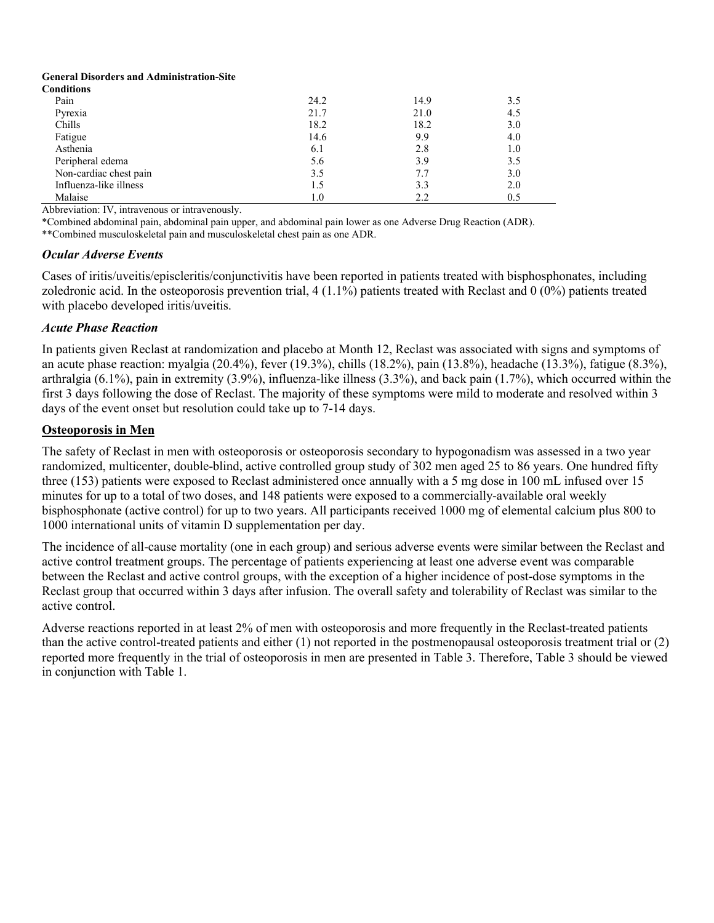#### **General Disorders and Administration-Site**

| <b>Conditions</b>      |      |      |     |
|------------------------|------|------|-----|
| Pain                   | 24.2 | 14.9 | 3.5 |
| Pyrexia                | 21.7 | 21.0 | 4.5 |
| Chills                 | 18.2 | 18.2 | 3.0 |
| Fatigue                | 14.6 | 9.9  | 4.0 |
| Asthenia               | 6.1  | 2.8  | 1.0 |
| Peripheral edema       | 5.6  | 3.9  | 3.5 |
| Non-cardiac chest pain | 3.5  | 7.7  | 3.0 |
| Influenza-like illness | 1.5  | 3.3  | 2.0 |
| Malaise                | 1.0  | 2.2  | 0.5 |

Abbreviation: IV, intravenous or intravenously.

\*Combined abdominal pain, abdominal pain upper, and abdominal pain lower as one Adverse Drug Reaction (ADR).

\*\*Combined musculoskeletal pain and musculoskeletal chest pain as one ADR.

#### *Ocular Adverse Events*

Cases of iritis/uveitis/episcleritis/conjunctivitis have been reported in patients treated with bisphosphonates, including zoledronic acid. In the osteoporosis prevention trial,  $4(1.1\%)$  patients treated with Reclast and  $0(0\%)$  patients treated with placebo developed iritis/uveitis.

#### *Acute Phase Reaction*

In patients given Reclast at randomization and placebo at Month 12, Reclast was associated with signs and symptoms of an acute phase reaction: myalgia (20.4%), fever (19.3%), chills (18.2%), pain (13.8%), headache (13.3%), fatigue (8.3%), arthralgia (6.1%), pain in extremity (3.9%), influenza-like illness (3.3%), and back pain (1.7%), which occurred within the first 3 days following the dose of Reclast. The majority of these symptoms were mild to moderate and resolved within 3 days of the event onset but resolution could take up to 7-14 days.

#### **Osteoporosis in Men**

The safety of Reclast in men with osteoporosis or osteoporosis secondary to hypogonadism was assessed in a two year randomized, multicenter, double-blind, active controlled group study of 302 men aged 25 to 86 years. One hundred fifty three (153) patients were exposed to Reclast administered once annually with a 5 mg dose in 100 mL infused over 15 minutes for up to a total of two doses, and 148 patients were exposed to a commercially-available oral weekly bisphosphonate (active control) for up to two years. All participants received 1000 mg of elemental calcium plus 800 to 1000 international units of vitamin D supplementation per day.

The incidence of all-cause mortality (one in each group) and serious adverse events were similar between the Reclast and active control treatment groups. The percentage of patients experiencing at least one adverse event was comparable between the Reclast and active control groups, with the exception of a higher incidence of post-dose symptoms in the Reclast group that occurred within 3 days after infusion. The overall safety and tolerability of Reclast was similar to the active control.

Adverse reactions reported in at least 2% of men with osteoporosis and more frequently in the Reclast-treated patients than the active control-treated patients and either (1) not reported in the postmenopausal osteoporosis treatment trial or (2) reported more frequently in the trial of osteoporosis in men are presented in Table 3. Therefore, Table 3 should be viewed in conjunction with Table 1.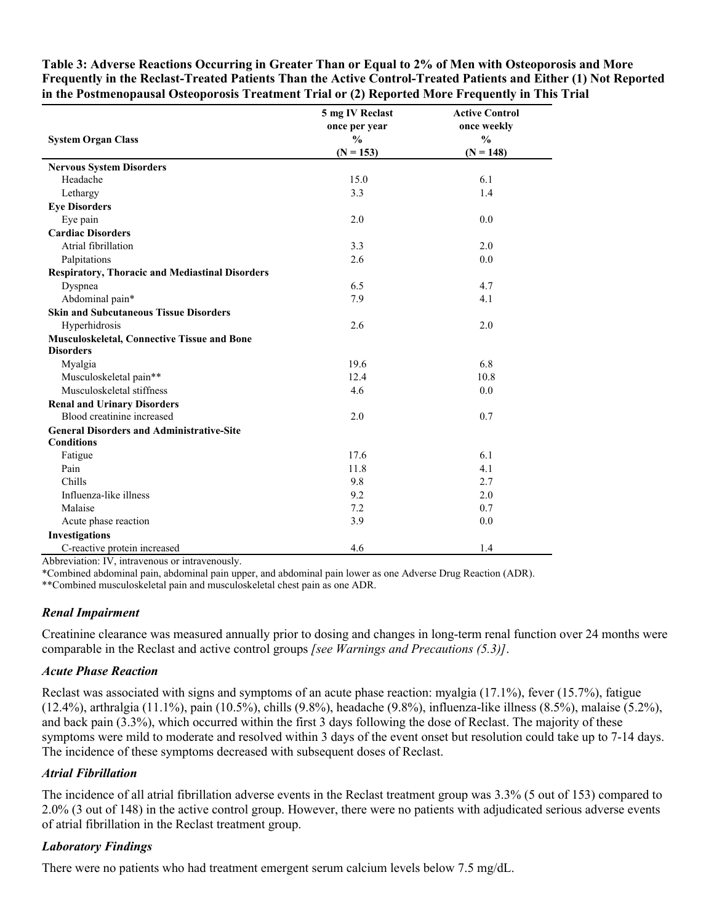|                                                        | 5 mg IV Reclast | <b>Active Control</b> |
|--------------------------------------------------------|-----------------|-----------------------|
|                                                        | once per year   | once weekly           |
| <b>System Organ Class</b>                              | $\frac{0}{0}$   | $\frac{0}{0}$         |
|                                                        | $(N = 153)$     | $(N = 148)$           |
| <b>Nervous System Disorders</b>                        |                 |                       |
| Headache                                               | 15.0            | 6.1                   |
| Lethargy                                               | 3.3             | 1.4                   |
| <b>Eye Disorders</b>                                   |                 |                       |
| Eye pain                                               | 2.0             | 0.0                   |
| <b>Cardiac Disorders</b>                               |                 |                       |
| Atrial fibrillation                                    | 3.3             | 2.0                   |
| Palpitations                                           | 2.6             | 0.0                   |
| <b>Respiratory, Thoracic and Mediastinal Disorders</b> |                 |                       |
| Dyspnea                                                | 6.5             | 4.7                   |
| Abdominal pain*                                        | 7.9             | 4.1                   |
| <b>Skin and Subcutaneous Tissue Disorders</b>          |                 |                       |
| Hyperhidrosis                                          | 2.6             | 2.0                   |
| Musculoskeletal, Connective Tissue and Bone            |                 |                       |
| <b>Disorders</b>                                       |                 |                       |
| Myalgia                                                | 19.6            | 6.8                   |
| Musculoskeletal pain**                                 | 12.4            | 10.8                  |
| Musculoskeletal stiffness                              | 4.6             | 0.0                   |
| <b>Renal and Urinary Disorders</b>                     |                 |                       |
| Blood creatinine increased                             | 2.0             | 0.7                   |
| <b>General Disorders and Administrative-Site</b>       |                 |                       |
| <b>Conditions</b>                                      |                 |                       |
| Fatigue                                                | 17.6            | 6.1                   |
| Pain                                                   | 11.8            | 4.1                   |
| Chills                                                 | 9.8             | 2.7                   |
| Influenza-like illness                                 | 9.2             | 2.0                   |
| Malaise                                                | 7.2             | 0.7                   |
| Acute phase reaction                                   | 3.9             | 0.0                   |
| <b>Investigations</b>                                  |                 |                       |
| C-reactive protein increased                           | 4.6             | 1.4                   |

**Table 3: Adverse Reactions Occurring in Greater Than or Equal to 2% of Men with Osteoporosis and More Frequently in the Reclast-Treated Patients Than the Active Control-Treated Patients and Either (1) Not Reported in the Postmenopausal Osteoporosis Treatment Trial or (2) Reported More Frequently in This Trial** 

Abbreviation: IV, intravenous or intravenously.

\*Combined abdominal pain, abdominal pain upper, and abdominal pain lower as one Adverse Drug Reaction (ADR).

\*\*Combined musculoskeletal pain and musculoskeletal chest pain as one ADR.

#### *Renal Impairment*

Creatinine clearance was measured annually prior to dosing and changes in long-term renal function over 24 months were comparable in the Reclast and active control groups *[see Warnings and Precautions (5.3)]*.

#### *Acute Phase Reaction*

Reclast was associated with signs and symptoms of an acute phase reaction: myalgia (17.1%), fever (15.7%), fatigue (12.4%), arthralgia (11.1%), pain (10.5%), chills (9.8%), headache (9.8%), influenza-like illness (8.5%), malaise (5.2%), and back pain (3.3%), which occurred within the first 3 days following the dose of Reclast. The majority of these symptoms were mild to moderate and resolved within 3 days of the event onset but resolution could take up to 7-14 days. The incidence of these symptoms decreased with subsequent doses of Reclast.

#### *Atrial Fibrillation*

The incidence of all atrial fibrillation adverse events in the Reclast treatment group was 3.3% (5 out of 153) compared to 2.0% (3 out of 148) in the active control group. However, there were no patients with adjudicated serious adverse events of atrial fibrillation in the Reclast treatment group.

#### *Laboratory Findings*

There were no patients who had treatment emergent serum calcium levels below 7.5 mg/dL.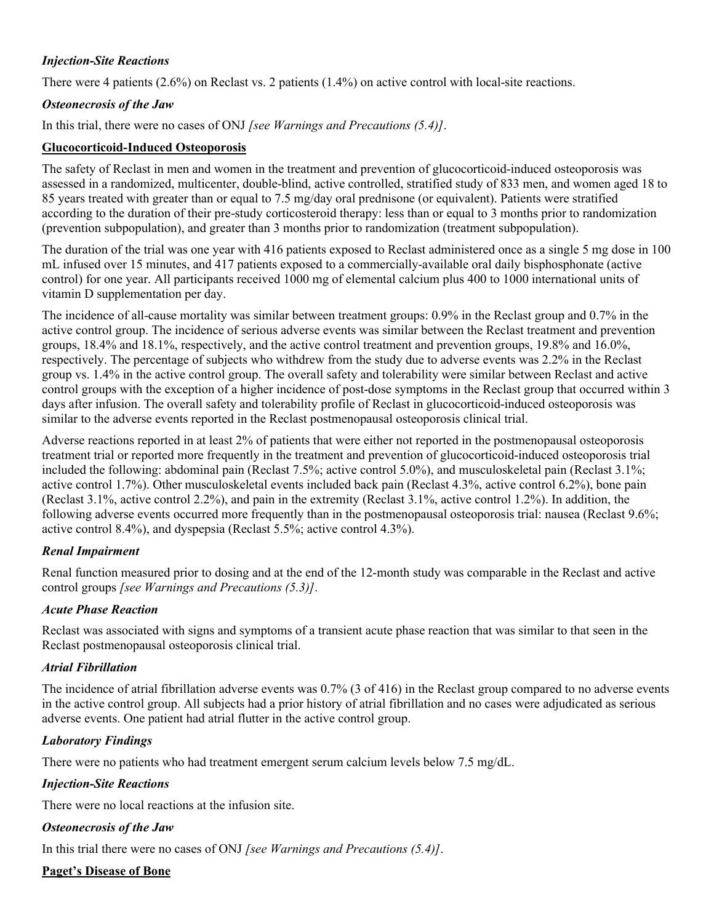#### *Injection-Site Reactions*

There were 4 patients (2.6%) on Reclast vs. 2 patients (1.4%) on active control with local-site reactions.

#### *Osteonecrosis of the Jaw*

In this trial, there were no cases of ONJ *[see Warnings and Precautions (5.4)]*.

#### **Glucocorticoid-Induced Osteoporosis**

The safety of Reclast in men and women in the treatment and prevention of glucocorticoid-induced osteoporosis was assessed in a randomized, multicenter, double-blind, active controlled, stratified study of 833 men, and women aged 18 to 85 years treated with greater than or equal to 7.5 mg/day oral prednisone (or equivalent). Patients were stratified according to the duration of their pre-study corticosteroid therapy: less than or equal to 3 months prior to randomization (prevention subpopulation), and greater than 3 months prior to randomization (treatment subpopulation).

The duration of the trial was one year with 416 patients exposed to Reclast administered once as a single 5 mg dose in 100 mL infused over 15 minutes, and 417 patients exposed to a commercially-available oral daily bisphosphonate (active control) for one year. All participants received 1000 mg of elemental calcium plus 400 to 1000 international units of vitamin D supplementation per day.

The incidence of all-cause mortality was similar between treatment groups: 0.9% in the Reclast group and 0.7% in the active control group. The incidence of serious adverse events was similar between the Reclast treatment and prevention groups, 18.4% and 18.1%, respectively, and the active control treatment and prevention groups, 19.8% and 16.0%, respectively. The percentage of subjects who withdrew from the study due to adverse events was 2.2% in the Reclast group vs. 1.4% in the active control group. The overall safety and tolerability were similar between Reclast and active control groups with the exception of a higher incidence of post-dose symptoms in the Reclast group that occurred within 3 days after infusion. The overall safety and tolerability profile of Reclast in glucocorticoid-induced osteoporosis was similar to the adverse events reported in the Reclast postmenopausal osteoporosis clinical trial.

Adverse reactions reported in at least 2% of patients that were either not reported in the postmenopausal osteoporosis treatment trial or reported more frequently in the treatment and prevention of glucocorticoid-induced osteoporosis trial included the following: abdominal pain (Reclast 7.5%; active control 5.0%), and musculoskeletal pain (Reclast 3.1%; active control 1.7%). Other musculoskeletal events included back pain (Reclast 4.3%, active control 6.2%), bone pain (Reclast 3.1%, active control 2.2%), and pain in the extremity (Reclast 3.1%, active control 1.2%). In addition, the following adverse events occurred more frequently than in the postmenopausal osteoporosis trial: nausea (Reclast 9.6%; active control 8.4%), and dyspepsia (Reclast 5.5%; active control 4.3%).

#### *Renal Impairment*

Renal function measured prior to dosing and at the end of the 12-month study was comparable in the Reclast and active control groups *[see Warnings and Precautions (5.3)]*.

#### *Acute Phase Reaction*

Reclast was associated with signs and symptoms of a transient acute phase reaction that was similar to that seen in the Reclast postmenopausal osteoporosis clinical trial.

#### *Atrial Fibrillation*

The incidence of atrial fibrillation adverse events was 0.7% (3 of 416) in the Reclast group compared to no adverse events in the active control group. All subjects had a prior history of atrial fibrillation and no cases were adjudicated as serious adverse events. One patient had atrial flutter in the active control group.

#### *Laboratory Findings*

There were no patients who had treatment emergent serum calcium levels below 7.5 mg/dL.

#### *Injection-Site Reactions*

There were no local reactions at the infusion site.

#### *Osteonecrosis of the Jaw*

In this trial there were no cases of ONJ *[see Warnings and Precautions (5.4)]*.

#### **Paget's Disease of Bone**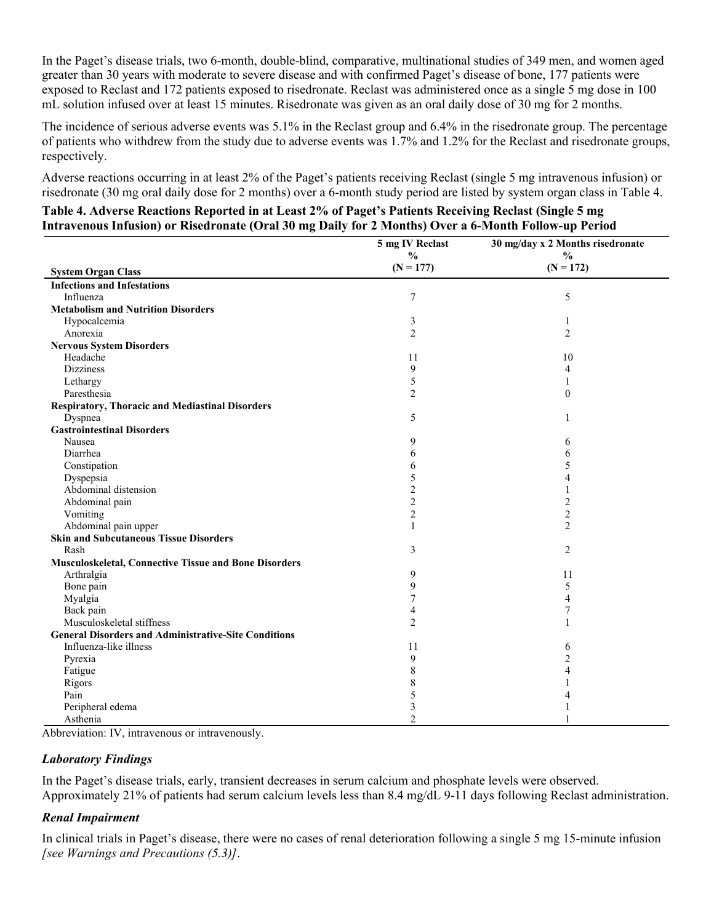In the Paget's disease trials, two 6-month, double-blind, comparative, multinational studies of 349 men, and women aged greater than 30 years with moderate to severe disease and with confirmed Paget's disease of bone, 177 patients were exposed to Reclast and 172 patients exposed to risedronate. Reclast was administered once as a single 5 mg dose in 100 mL solution infused over at least 15 minutes. Risedronate was given as an oral daily dose of 30 mg for 2 months.

The incidence of serious adverse events was 5.1% in the Reclast group and 6.4% in the risedronate group. The percentage of patients who withdrew from the study due to adverse events was 1.7% and 1.2% for the Reclast and risedronate groups, respectively.

Adverse reactions occurring in at least 2% of the Paget's patients receiving Reclast (single 5 mg intravenous infusion) or risedronate (30 mg oral daily dose for 2 months) over a 6-month study period are listed by system organ class in Table 4.

#### **Table 4. Adverse Reactions Reported in at Least 2% of Paget's Patients Receiving Reclast (Single 5 mg Intravenous Infusion) or Risedronate (Oral 30 mg Daily for 2 Months) Over a 6-Month Follow-up Period**

|                                                             | 5 mg IV Reclast | 30 mg/day x 2 Months risedronate |
|-------------------------------------------------------------|-----------------|----------------------------------|
|                                                             | $\frac{0}{0}$   | $\frac{0}{0}$                    |
| <b>System Organ Class</b>                                   | $(N = 177)$     | $(N = 172)$                      |
| <b>Infections and Infestations</b>                          |                 |                                  |
| Influenza                                                   | 7               | 5                                |
| <b>Metabolism and Nutrition Disorders</b>                   |                 |                                  |
| Hypocalcemia                                                | 3               | 1                                |
| Anorexia                                                    | $\overline{2}$  | $\overline{c}$                   |
| <b>Nervous System Disorders</b>                             |                 |                                  |
| Headache                                                    | 11              | 10                               |
| <b>Dizziness</b>                                            | 9               | 4                                |
| Lethargy                                                    | 5               | 1                                |
| Paresthesia                                                 | 2               | $\mathbf{0}$                     |
| <b>Respiratory, Thoracic and Mediastinal Disorders</b>      |                 |                                  |
| Dyspnea                                                     | 5               | 1                                |
| <b>Gastrointestinal Disorders</b>                           |                 |                                  |
| Nausea                                                      | 9               | 6                                |
| Diarrhea                                                    | 6               | 6                                |
| Constipation                                                | 6               | 5                                |
| Dyspepsia                                                   | 5               | Δ                                |
| Abdominal distension                                        | $\overline{c}$  |                                  |
| Abdominal pain                                              | $\overline{c}$  | $\overline{c}$                   |
| Vomiting                                                    | $\overline{c}$  | $\boldsymbol{2}$                 |
| Abdominal pain upper                                        | $\mathbf{1}$    | $\overline{2}$                   |
| <b>Skin and Subcutaneous Tissue Disorders</b>               |                 |                                  |
| Rash                                                        | 3               | $\overline{2}$                   |
| Musculoskeletal, Connective Tissue and Bone Disorders       |                 |                                  |
| Arthralgia                                                  | 9               | 11                               |
| Bone pain                                                   | 9               | 5                                |
| Myalgia                                                     | 7               | $\overline{4}$                   |
| Back pain                                                   | 4               | 7                                |
| Musculoskeletal stiffness                                   | $\overline{c}$  | $\mathbf{1}$                     |
| <b>General Disorders and Administrative-Site Conditions</b> |                 |                                  |
| Influenza-like illness                                      | 11              | 6                                |
| Pyrexia                                                     | 9               | 2                                |
| Fatigue                                                     | 8               | 4                                |
| Rigors                                                      | 8               |                                  |
| Pain                                                        | 5               | 4                                |
| Peripheral edema                                            | 3               |                                  |
| Asthenia                                                    | $\overline{c}$  |                                  |

Abbreviation: IV, intravenous or intravenously.

## *Laboratory Findings*

In the Paget's disease trials, early, transient decreases in serum calcium and phosphate levels were observed. Approximately 21% of patients had serum calcium levels less than 8.4 mg/dL 9-11 days following Reclast administration.

## *Renal Impairment*

In clinical trials in Paget's disease, there were no cases of renal deterioration following a single 5 mg 15-minute infusion *[see Warnings and Precautions (5.3)]*.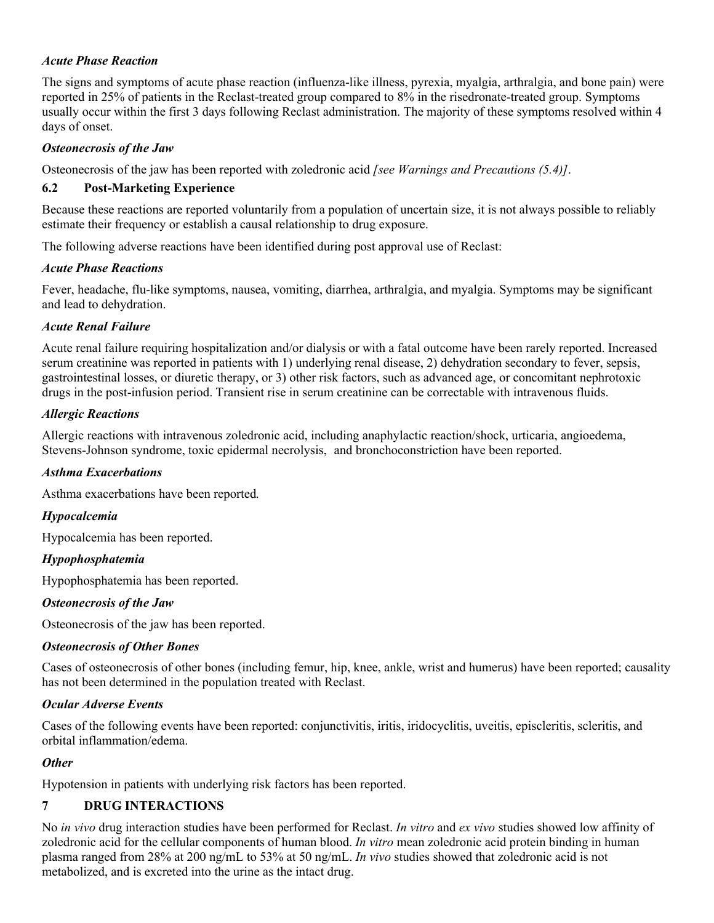#### <span id="page-12-0"></span>*Acute Phase Reaction*

The signs and symptoms of acute phase reaction (influenza-like illness, pyrexia, myalgia, arthralgia, and bone pain) were reported in 25% of patients in the Reclast-treated group compared to 8% in the risedronate-treated group. Symptoms usually occur within the first 3 days following Reclast administration. The majority of these symptoms resolved within 4 days of onset.

#### *Osteonecrosis of the Jaw*

Osteonecrosis of the jaw has been reported with zoledronic acid *[see Warnings and Precautions (5.4)]*.

#### **6.2 Post-Marketing Experience**

Because these reactions are reported voluntarily from a population of uncertain size, it is not always possible to reliably estimate their frequency or establish a causal relationship to drug exposure.

The following adverse reactions have been identified during post approval use of Reclast:

#### *Acute Phase Reactions*

Fever, headache, flu-like symptoms, nausea, vomiting, diarrhea, arthralgia, and myalgia. Symptoms may be significant and lead to dehydration.

#### *Acute Renal Failure*

Acute renal failure requiring hospitalization and/or dialysis or with a fatal outcome have been rarely reported. Increased serum creatinine was reported in patients with 1) underlying renal disease, 2) dehydration secondary to fever, sepsis, gastrointestinal losses, or diuretic therapy, or 3) other risk factors, such as advanced age, or concomitant nephrotoxic drugs in the post-infusion period. Transient rise in serum creatinine can be correctable with intravenous fluids.

#### *Allergic Reactions*

Allergic reactions with intravenous zoledronic acid, including anaphylactic reaction/shock, urticaria, angioedema, Stevens-Johnson syndrome, toxic epidermal necrolysis, and bronchoconstriction have been reported.

#### *Asthma Exacerbations*

Asthma exacerbations have been reported*.*

#### *Hypocalcemia*

Hypocalcemia has been reported.

#### *Hypophosphatemia*

Hypophosphatemia has been reported.

#### *Osteonecrosis of the Jaw*

Osteonecrosis of the jaw has been reported.

#### *Osteonecrosis of Other Bones*

Cases of osteonecrosis of other bones (including femur, hip, knee, ankle, wrist and humerus) have been reported; causality has not been determined in the population treated with Reclast.

#### *Ocular Adverse Events*

Cases of the following events have been reported: conjunctivitis, iritis, iridocyclitis, uveitis, episcleritis, scleritis, and orbital inflammation/edema.

#### *Other*

Hypotension in patients with underlying risk factors has been reported.

#### **7 DRUG INTERACTIONS**

No *in vivo* drug interaction studies have been performed for Reclast. *In vitro* and *ex vivo* studies showed low affinity of zoledronic acid for the cellular components of human blood. *In vitro* mean zoledronic acid protein binding in human plasma ranged from 28% at 200 ng/mL to 53% at 50 ng/mL. *In vivo* studies showed that zoledronic acid is not metabolized, and is excreted into the urine as the intact drug.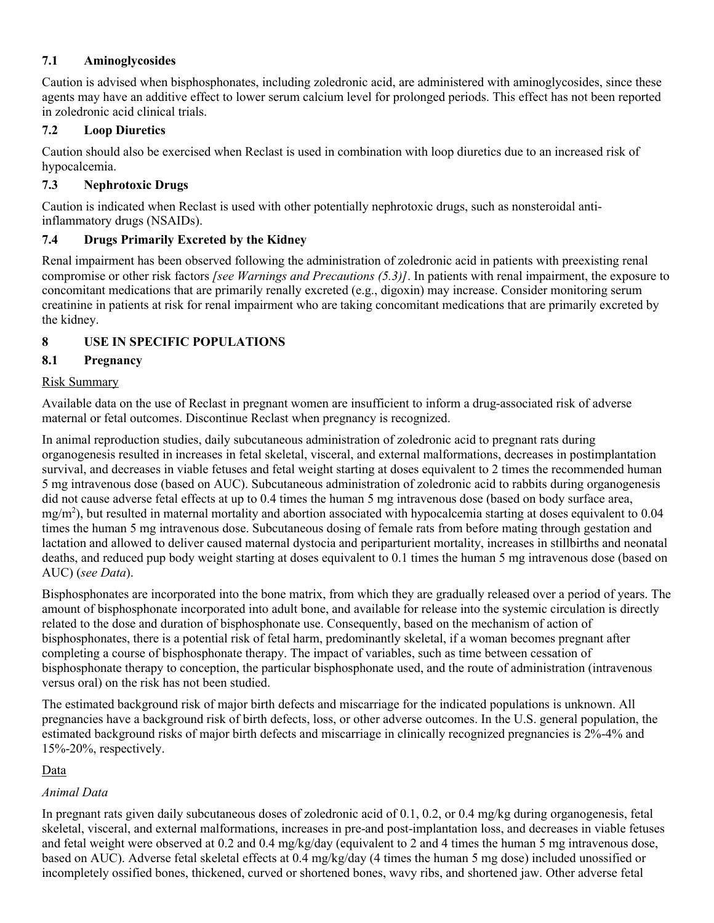## <span id="page-13-0"></span>**7.1 Aminoglycosides**

Caution is advised when bisphosphonates, including zoledronic acid, are administered with aminoglycosides, since these agents may have an additive effect to lower serum calcium level for prolonged periods. This effect has not been reported in zoledronic acid clinical trials.

### **7.2 Loop Diuretics**

Caution should also be exercised when Reclast is used in combination with loop diuretics due to an increased risk of hypocalcemia.

### **7.3 Nephrotoxic Drugs**

Caution is indicated when Reclast is used with other potentially nephrotoxic drugs, such as nonsteroidal antiinflammatory drugs (NSAIDs).

### **7.4 Drugs Primarily Excreted by the Kidney**

Renal impairment has been observed following the administration of zoledronic acid in patients with preexisting renal compromise or other risk factors *[see Warnings and Precautions (5.3)]*. In patients with renal impairment, the exposure to concomitant medications that are primarily renally excreted (e.g., digoxin) may increase. Consider monitoring serum creatinine in patients at risk for renal impairment who are taking concomitant medications that are primarily excreted by the kidney.

## **8 USE IN SPECIFIC POPULATIONS**

### **8.1 Pregnancy**

#### Risk Summary

Available data on the use of Reclast in pregnant women are insufficient to inform a drug-associated risk of adverse maternal or fetal outcomes. Discontinue Reclast when pregnancy is recognized.

In animal reproduction studies, daily subcutaneous administration of zoledronic acid to pregnant rats during organogenesis resulted in increases in fetal skeletal, visceral, and external malformations, decreases in postimplantation survival, and decreases in viable fetuses and fetal weight starting at doses equivalent to 2 times the recommended human 5 mg intravenous dose (based on AUC). Subcutaneous administration of zoledronic acid to rabbits during organogenesis did not cause adverse fetal effects at up to 0.4 times the human 5 mg intravenous dose (based on body surface area, mg/m<sup>2</sup>), but resulted in maternal mortality and abortion associated with hypocalcemia starting at doses equivalent to 0.04 times the human 5 mg intravenous dose. Subcutaneous dosing of female rats from before mating through gestation and lactation and allowed to deliver caused maternal dystocia and periparturient mortality, increases in stillbirths and neonatal deaths, and reduced pup body weight starting at doses equivalent to 0.1 times the human 5 mg intravenous dose (based on AUC) (*see Data*).

Bisphosphonates are incorporated into the bone matrix, from which they are gradually released over a period of years. The amount of bisphosphonate incorporated into adult bone, and available for release into the systemic circulation is directly related to the dose and duration of bisphosphonate use. Consequently, based on the mechanism of action of bisphosphonates, there is a potential risk of fetal harm, predominantly skeletal, if a woman becomes pregnant after completing a course of bisphosphonate therapy. The impact of variables, such as time between cessation of bisphosphonate therapy to conception, the particular bisphosphonate used, and the route of administration (intravenous versus oral) on the risk has not been studied.

The estimated background risk of major birth defects and miscarriage for the indicated populations is unknown. All pregnancies have a background risk of birth defects, loss, or other adverse outcomes. In the U.S. general population, the estimated background risks of major birth defects and miscarriage in clinically recognized pregnancies is 2%-4% and 15%-20%, respectively.

#### Data

## *Animal Data*

In pregnant rats given daily subcutaneous doses of zoledronic acid of 0.1, 0.2, or 0.4 mg/kg during organogenesis, fetal skeletal, visceral, and external malformations, increases in pre-and post-implantation loss, and decreases in viable fetuses and fetal weight were observed at 0.2 and 0.4 mg/kg/day (equivalent to 2 and 4 times the human 5 mg intravenous dose, based on AUC). Adverse fetal skeletal effects at 0.4 mg/kg/day (4 times the human 5 mg dose) included unossified or incompletely ossified bones, thickened, curved or shortened bones, wavy ribs, and shortened jaw. Other adverse fetal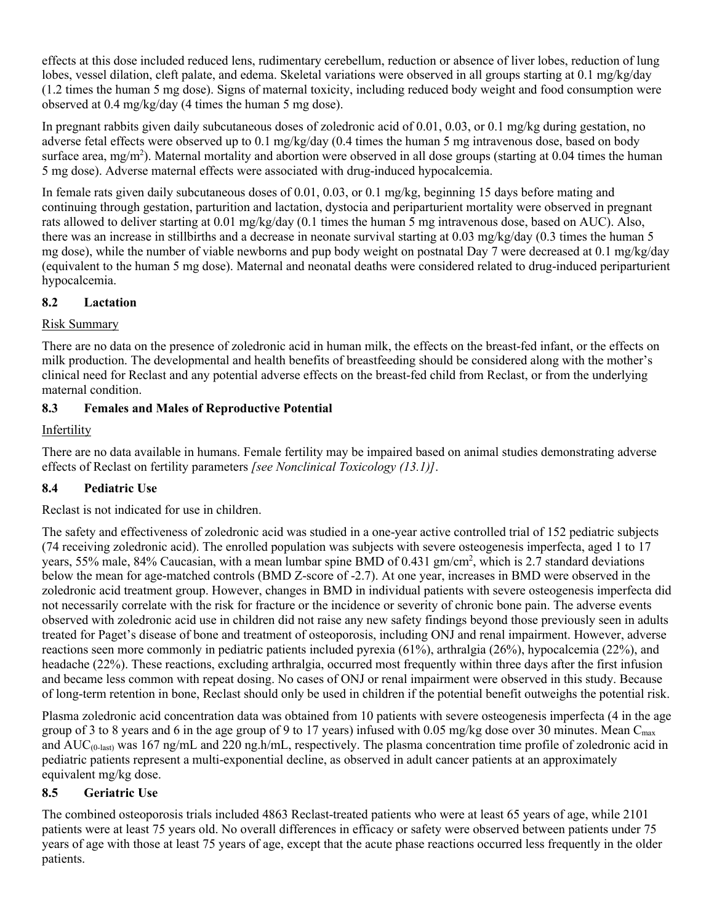<span id="page-14-0"></span>effects at this dose included reduced lens, rudimentary cerebellum, reduction or absence of liver lobes, reduction of lung lobes, vessel dilation, cleft palate, and edema. Skeletal variations were observed in all groups starting at 0.1 mg/kg/day (1.2 times the human 5 mg dose). Signs of maternal toxicity, including reduced body weight and food consumption were observed at 0.4 mg/kg/day (4 times the human 5 mg dose).

In pregnant rabbits given daily subcutaneous doses of zoledronic acid of 0.01, 0.03, or 0.1 mg/kg during gestation, no adverse fetal effects were observed up to 0.1 mg/kg/day (0.4 times the human 5 mg intravenous dose, based on body surface area, mg/m<sup>2</sup>). Maternal mortality and abortion were observed in all dose groups (starting at 0.04 times the human 5 mg dose). Adverse maternal effects were associated with drug-induced hypocalcemia.

In female rats given daily subcutaneous doses of 0.01, 0.03, or 0.1 mg/kg, beginning 15 days before mating and continuing through gestation, parturition and lactation, dystocia and periparturient mortality were observed in pregnant rats allowed to deliver starting at 0.01 mg/kg/day (0.1 times the human 5 mg intravenous dose, based on AUC). Also, there was an increase in stillbirths and a decrease in neonate survival starting at 0.03 mg/kg/day (0.3 times the human 5 mg dose), while the number of viable newborns and pup body weight on postnatal Day 7 were decreased at 0.1 mg/kg/day (equivalent to the human 5 mg dose). Maternal and neonatal deaths were considered related to drug-induced periparturient hypocalcemia.

### **8.2 Lactation**

### Risk Summary

There are no data on the presence of zoledronic acid in human milk, the effects on the breast-fed infant, or the effects on milk production. The developmental and health benefits of breastfeeding should be considered along with the mother's clinical need for Reclast and any potential adverse effects on the breast-fed child from Reclast, or from the underlying maternal condition.

### **8.3 Females and Males of Reproductive Potential**

### Infertility

There are no data available in humans. Female fertility may be impaired based on animal studies demonstrating adverse effects of Reclast on fertility parameters *[see Nonclinical Toxicology (13.1)]*.

## **8.4 Pediatric Use**

Reclast is not indicated for use in children.

The safety and effectiveness of zoledronic acid was studied in a one-year active controlled trial of 152 pediatric subjects (74 receiving zoledronic acid). The enrolled population was subjects with severe osteogenesis imperfecta, aged 1 to 17 years, 55% male, 84% Caucasian, with a mean lumbar spine BMD of 0.431 gm/cm<sup>2</sup>, which is 2.7 standard deviations below the mean for age-matched controls (BMD Z-score of -2.7). At one year, increases in BMD were observed in the zoledronic acid treatment group. However, changes in BMD in individual patients with severe osteogenesis imperfecta did not necessarily correlate with the risk for fracture or the incidence or severity of chronic bone pain. The adverse events observed with zoledronic acid use in children did not raise any new safety findings beyond those previously seen in adults treated for Paget's disease of bone and treatment of osteoporosis, including ONJ and renal impairment. However, adverse reactions seen more commonly in pediatric patients included pyrexia (61%), arthralgia (26%), hypocalcemia (22%), and headache (22%). These reactions, excluding arthralgia, occurred most frequently within three days after the first infusion and became less common with repeat dosing. No cases of ONJ or renal impairment were observed in this study. Because of long-term retention in bone, Reclast should only be used in children if the potential benefit outweighs the potential risk.

Plasma zoledronic acid concentration data was obtained from 10 patients with severe osteogenesis imperfecta (4 in the age group of 3 to 8 years and 6 in the age group of 9 to 17 years) infused with 0.05 mg/kg dose over 30 minutes. Mean  $C_{\text{max}}$ and  $AUC_{(0-last)}$  was 167 ng/mL and 220 ng.h/mL, respectively. The plasma concentration time profile of zoledronic acid in pediatric patients represent a multi-exponential decline, as observed in adult cancer patients at an approximately equivalent mg/kg dose.

## **8.5 Geriatric Use**

The combined osteoporosis trials included 4863 Reclast-treated patients who were at least 65 years of age, while 2101 patients were at least 75 years old. No overall differences in efficacy or safety were observed between patients under 75 years of age with those at least 75 years of age, except that the acute phase reactions occurred less frequently in the older patients.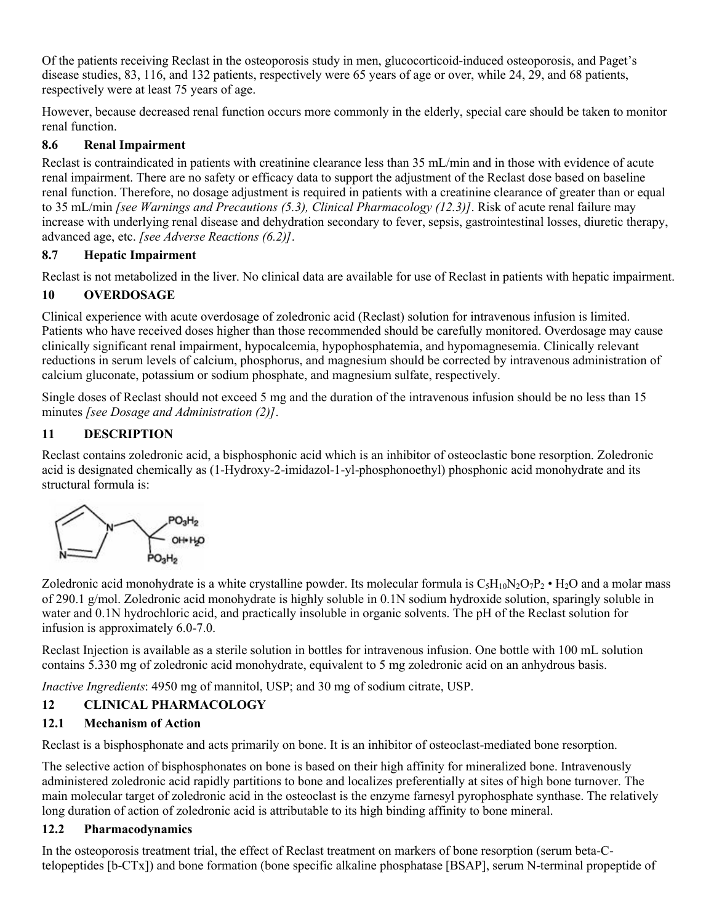<span id="page-15-0"></span>Of the patients receiving Reclast in the osteoporosis study in men, glucocorticoid-induced osteoporosis, and Paget's disease studies, 83, 116, and 132 patients, respectively were 65 years of age or over, while 24, 29, and 68 patients, respectively were at least 75 years of age.

However, because decreased renal function occurs more commonly in the elderly, special care should be taken to monitor renal function.

## **8.6 Renal Impairment**

Reclast is contraindicated in patients with creatinine clearance less than 35 mL/min and in those with evidence of acute renal impairment. There are no safety or efficacy data to support the adjustment of the Reclast dose based on baseline renal function. Therefore, no dosage adjustment is required in patients with a creatinine clearance of greater than or equal to 35 mL/min *[see Warnings and Precautions (5.3), Clinical Pharmacology (12.3)]*. Risk of acute renal failure may increase with underlying renal disease and dehydration secondary to fever, sepsis, gastrointestinal losses, diuretic therapy, advanced age, etc. *[see Adverse Reactions (6.2)]*.

## **8.7 Hepatic Impairment**

Reclast is not metabolized in the liver. No clinical data are available for use of Reclast in patients with hepatic impairment.

## **10 OVERDOSAGE**

Clinical experience with acute overdosage of zoledronic acid (Reclast) solution for intravenous infusion is limited. Patients who have received doses higher than those recommended should be carefully monitored. Overdosage may cause clinically significant renal impairment, hypocalcemia, hypophosphatemia, and hypomagnesemia. Clinically relevant reductions in serum levels of calcium, phosphorus, and magnesium should be corrected by intravenous administration of calcium gluconate, potassium or sodium phosphate, and magnesium sulfate, respectively.

Single doses of Reclast should not exceed 5 mg and the duration of the intravenous infusion should be no less than 15 minutes *[see Dosage and Administration (2)]*.

## **11 DESCRIPTION**

Reclast contains zoledronic acid, a bisphosphonic acid which is an inhibitor of osteoclastic bone resorption. Zoledronic acid is designated chemically as (1-Hydroxy-2-imidazol-1-yl-phosphonoethyl) phosphonic acid monohydrate and its structural formula is:



Zoledronic acid monohydrate is a white crystalline powder. Its molecular formula is  $C_5H_{10}N_2O_7P_2 \cdot H_2O$  and a molar mass of 290.1 g/mol. Zoledronic acid monohydrate is highly soluble in 0.1N sodium hydroxide solution, sparingly soluble in water and 0.1N hydrochloric acid, and practically insoluble in organic solvents. The pH of the Reclast solution for infusion is approximately 6.0-7.0.

Reclast Injection is available as a sterile solution in bottles for intravenous infusion. One bottle with 100 mL solution contains 5.330 mg of zoledronic acid monohydrate, equivalent to 5 mg zoledronic acid on an anhydrous basis.

*Inactive Ingredients*: 4950 mg of mannitol, USP; and 30 mg of sodium citrate, USP.

## **12 CLINICAL PHARMACOLOGY**

## **12.1 Mechanism of Action**

Reclast is a bisphosphonate and acts primarily on bone. It is an inhibitor of osteoclast-mediated bone resorption.

The selective action of bisphosphonates on bone is based on their high affinity for mineralized bone. Intravenously administered zoledronic acid rapidly partitions to bone and localizes preferentially at sites of high bone turnover. The main molecular target of zoledronic acid in the osteoclast is the enzyme farnesyl pyrophosphate synthase. The relatively long duration of action of zoledronic acid is attributable to its high binding affinity to bone mineral.

## **12.2 Pharmacodynamics**

In the osteoporosis treatment trial, the effect of Reclast treatment on markers of bone resorption (serum beta-Ctelopeptides [b-CTx]) and bone formation (bone specific alkaline phosphatase [BSAP], serum N-terminal propeptide of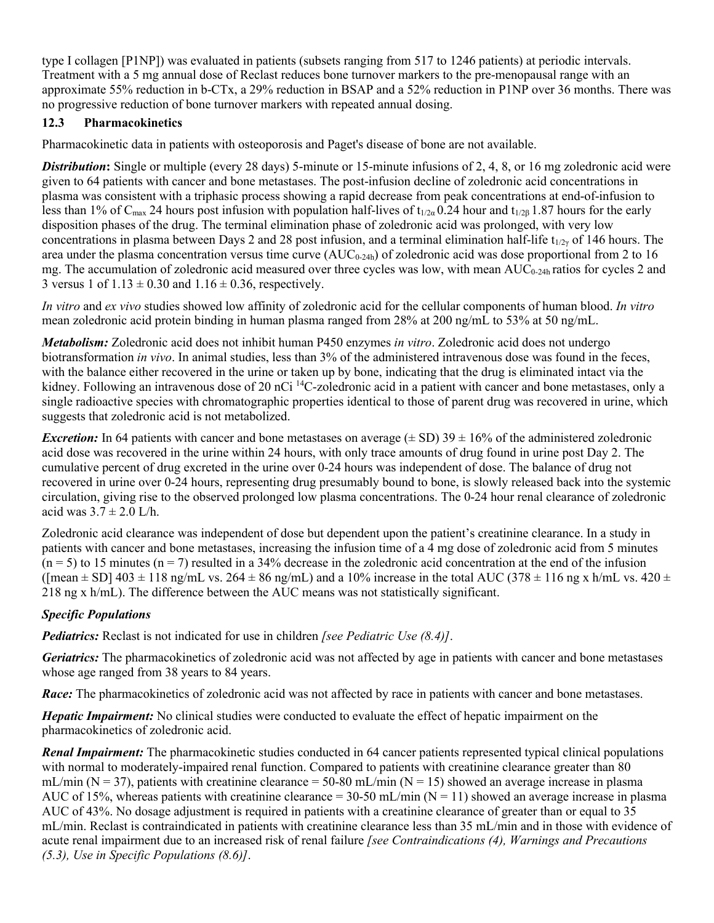<span id="page-16-0"></span>type I collagen [P1NP]) was evaluated in patients (subsets ranging from 517 to 1246 patients) at periodic intervals. Treatment with a 5 mg annual dose of Reclast reduces bone turnover markers to the pre-menopausal range with an approximate 55% reduction in b-CTx, a 29% reduction in BSAP and a 52% reduction in P1NP over 36 months. There was no progressive reduction of bone turnover markers with repeated annual dosing.

### **12.3 Pharmacokinetics**

Pharmacokinetic data in patients with osteoporosis and Paget's disease of bone are not available.

*Distribution*: Single or multiple (every 28 days) 5-minute or 15-minute infusions of 2, 4, 8, or 16 mg zoledronic acid were given to 64 patients with cancer and bone metastases. The post-infusion decline of zoledronic acid concentrations in plasma was consistent with a triphasic process showing a rapid decrease from peak concentrations at end-of-infusion to less than 1% of C<sub>max</sub> 24 hours post infusion with population half-lives of t<sub>1/2α</sub> 0.24 hour and t<sub>1/2β</sub> 1.87 hours for the early disposition phases of the drug. The terminal elimination phase of zoledronic acid was prolonged, with very low concentrations in plasma between Days 2 and 28 post infusion, and a terminal elimination half-life  $t_{1/2\gamma}$  of 146 hours. The area under the plasma concentration versus time curve  $(AUC_{0-24h})$  of zoledronic acid was dose proportional from 2 to 16 mg. The accumulation of zoledronic acid measured over three cycles was low, with mean AUC<sub>0-24h</sub> ratios for cycles 2 and 3 versus 1 of  $1.13 \pm 0.30$  and  $1.16 \pm 0.36$ , respectively.

*In vitro* and *ex vivo* studies showed low affinity of zoledronic acid for the cellular components of human blood. *In vitro* mean zoledronic acid protein binding in human plasma ranged from 28% at 200 ng/mL to 53% at 50 ng/mL.

*Metabolism:* Zoledronic acid does not inhibit human P450 enzymes *in vitro*. Zoledronic acid does not undergo biotransformation *in vivo*. In animal studies, less than 3% of the administered intravenous dose was found in the feces, with the balance either recovered in the urine or taken up by bone, indicating that the drug is eliminated intact via the kidney. Following an intravenous dose of 20 nCi <sup>14</sup>C-zoledronic acid in a patient with cancer and bone metastases, only a single radioactive species with chromatographic properties identical to those of parent drug was recovered in urine, which suggests that zoledronic acid is not metabolized.

*Excretion:* In 64 patients with cancer and bone metastases on average  $(\pm SD)$  39  $\pm 16\%$  of the administered zoledronic acid dose was recovered in the urine within 24 hours, with only trace amounts of drug found in urine post Day 2. The cumulative percent of drug excreted in the urine over 0-24 hours was independent of dose. The balance of drug not recovered in urine over 0-24 hours, representing drug presumably bound to bone, is slowly released back into the systemic circulation, giving rise to the observed prolonged low plasma concentrations. The 0-24 hour renal clearance of zoledronic acid was  $3.7 \pm 2.0$  L/h.

Zoledronic acid clearance was independent of dose but dependent upon the patient's creatinine clearance. In a study in patients with cancer and bone metastases, increasing the infusion time of a 4 mg dose of zoledronic acid from 5 minutes  $(n = 5)$  to 15 minutes  $(n = 7)$  resulted in a 34% decrease in the zoledronic acid concentration at the end of the infusion ([mean  $\pm$  SD] 403  $\pm$  118 ng/mL vs. 264  $\pm$  86 ng/mL) and a 10% increase in the total AUC (378  $\pm$  116 ng x h/mL vs. 420  $\pm$ 218 ng x h/mL). The difference between the AUC means was not statistically significant.

## *Specific Populations*

*Pediatrics:* Reclast is not indicated for use in children *[see Pediatric Use (8.4)]*.

*Geriatrics:* The pharmacokinetics of zoledronic acid was not affected by age in patients with cancer and bone metastases whose age ranged from 38 years to 84 years.

*Race:* The pharmacokinetics of zoledronic acid was not affected by race in patients with cancer and bone metastases.

*Hepatic Impairment:* No clinical studies were conducted to evaluate the effect of hepatic impairment on the pharmacokinetics of zoledronic acid.

*Renal Impairment:* The pharmacokinetic studies conducted in 64 cancer patients represented typical clinical populations with normal to moderately-impaired renal function. Compared to patients with creatinine clearance greater than 80 mL/min ( $N = 37$ ), patients with creatinine clearance = 50-80 mL/min ( $N = 15$ ) showed an average increase in plasma AUC of 15%, whereas patients with creatinine clearance =  $30-50$  mL/min (N = 11) showed an average increase in plasma AUC of 43%. No dosage adjustment is required in patients with a creatinine clearance of greater than or equal to 35 mL/min. Reclast is contraindicated in patients with creatinine clearance less than 35 mL/min and in those with evidence of acute renal impairment due to an increased risk of renal failure *[see Contraindications (4), Warnings and Precautions (5.3), Use in Specific Populations (8.6)]*.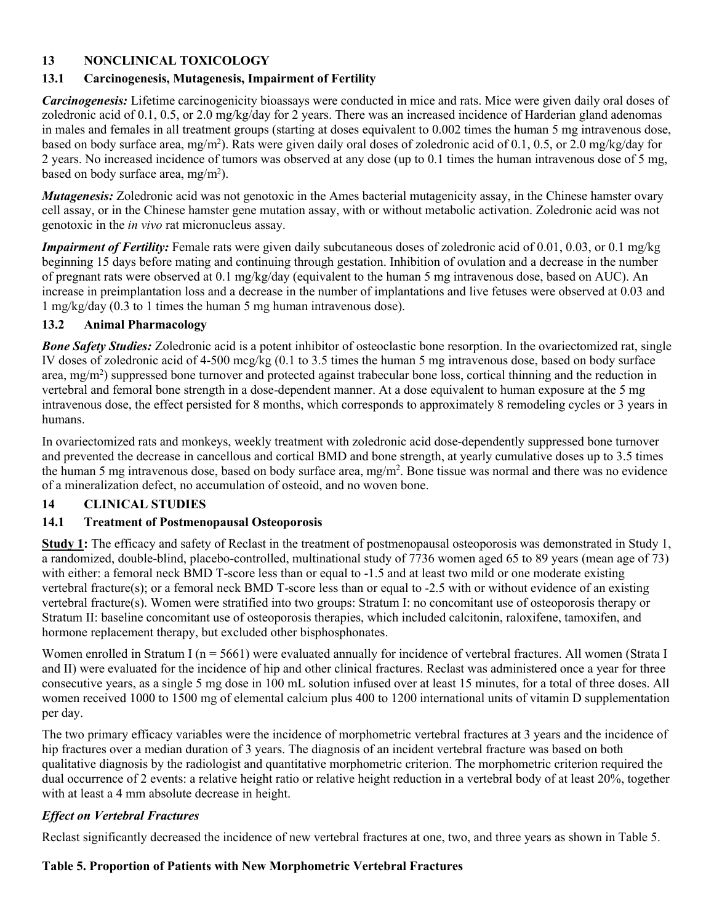### <span id="page-17-0"></span>**13 NONCLINICAL TOXICOLOGY**

### **13.1 Carcinogenesis, Mutagenesis, Impairment of Fertility**

*Carcinogenesis:* Lifetime carcinogenicity bioassays were conducted in mice and rats. Mice were given daily oral doses of zoledronic acid of 0.1, 0.5, or 2.0 mg/kg/day for 2 years. There was an increased incidence of Harderian gland adenomas in males and females in all treatment groups (starting at doses equivalent to 0.002 times the human 5 mg intravenous dose, based on body surface area, mg/m<sup>2</sup>). Rats were given daily oral doses of zoledronic acid of 0.1, 0.5, or 2.0 mg/kg/day for 2 years. No increased incidence of tumors was observed at any dose (up to 0.1 times the human intravenous dose of 5 mg, based on body surface area,  $mg/m^2$ ).

*Mutagenesis:* Zoledronic acid was not genotoxic in the Ames bacterial mutagenicity assay, in the Chinese hamster ovary cell assay, or in the Chinese hamster gene mutation assay, with or without metabolic activation. Zoledronic acid was not genotoxic in the *in vivo* rat micronucleus assay.

*Impairment of Fertility:* Female rats were given daily subcutaneous doses of zoledronic acid of 0.01, 0.03, or 0.1 mg/kg beginning 15 days before mating and continuing through gestation. Inhibition of ovulation and a decrease in the number of pregnant rats were observed at 0.1 mg/kg/day (equivalent to the human 5 mg intravenous dose, based on AUC). An increase in preimplantation loss and a decrease in the number of implantations and live fetuses were observed at 0.03 and 1 mg/kg/day (0.3 to 1 times the human 5 mg human intravenous dose).

### **13.2 Animal Pharmacology**

*Bone Safety Studies:* Zoledronic acid is a potent inhibitor of osteoclastic bone resorption. In the ovariectomized rat, single IV doses of zoledronic acid of 4-500 mcg/kg (0.1 to 3.5 times the human 5 mg intravenous dose, based on body surface area, mg/m<sup>2</sup>) suppressed bone turnover and protected against trabecular bone loss, cortical thinning and the reduction in vertebral and femoral bone strength in a dose-dependent manner. At a dose equivalent to human exposure at the 5 mg intravenous dose, the effect persisted for 8 months, which corresponds to approximately 8 remodeling cycles or 3 years in humans.

In ovariectomized rats and monkeys, weekly treatment with zoledronic acid dose-dependently suppressed bone turnover and prevented the decrease in cancellous and cortical BMD and bone strength, at yearly cumulative doses up to 3.5 times the human 5 mg intravenous dose, based on body surface area, mg/m<sup>2</sup>. Bone tissue was normal and there was no evidence of a mineralization defect, no accumulation of osteoid, and no woven bone.

## **14 CLINICAL STUDIES**

## **14.1 Treatment of Postmenopausal Osteoporosis**

**Study 1:** The efficacy and safety of Reclast in the treatment of postmenopausal osteoporosis was demonstrated in Study 1, a randomized, double-blind, placebo-controlled, multinational study of 7736 women aged 65 to 89 years (mean age of 73) with either: a femoral neck BMD T-score less than or equal to -1.5 and at least two mild or one moderate existing vertebral fracture(s); or a femoral neck BMD T-score less than or equal to -2.5 with or without evidence of an existing vertebral fracture(s). Women were stratified into two groups: Stratum I: no concomitant use of osteoporosis therapy or Stratum II: baseline concomitant use of osteoporosis therapies, which included calcitonin, raloxifene, tamoxifen, and hormone replacement therapy, but excluded other bisphosphonates.

Women enrolled in Stratum I (n = 5661) were evaluated annually for incidence of vertebral fractures. All women (Strata I and II) were evaluated for the incidence of hip and other clinical fractures. Reclast was administered once a year for three consecutive years, as a single 5 mg dose in 100 mL solution infused over at least 15 minutes, for a total of three doses. All women received 1000 to 1500 mg of elemental calcium plus 400 to 1200 international units of vitamin D supplementation per day.

The two primary efficacy variables were the incidence of morphometric vertebral fractures at 3 years and the incidence of hip fractures over a median duration of 3 years. The diagnosis of an incident vertebral fracture was based on both qualitative diagnosis by the radiologist and quantitative morphometric criterion. The morphometric criterion required the dual occurrence of 2 events: a relative height ratio or relative height reduction in a vertebral body of at least 20%, together with at least a 4 mm absolute decrease in height.

## *Effect on Vertebral Fractures*

Reclast significantly decreased the incidence of new vertebral fractures at one, two, and three years as shown in Table 5.

#### **Table 5. Proportion of Patients with New Morphometric Vertebral Fractures**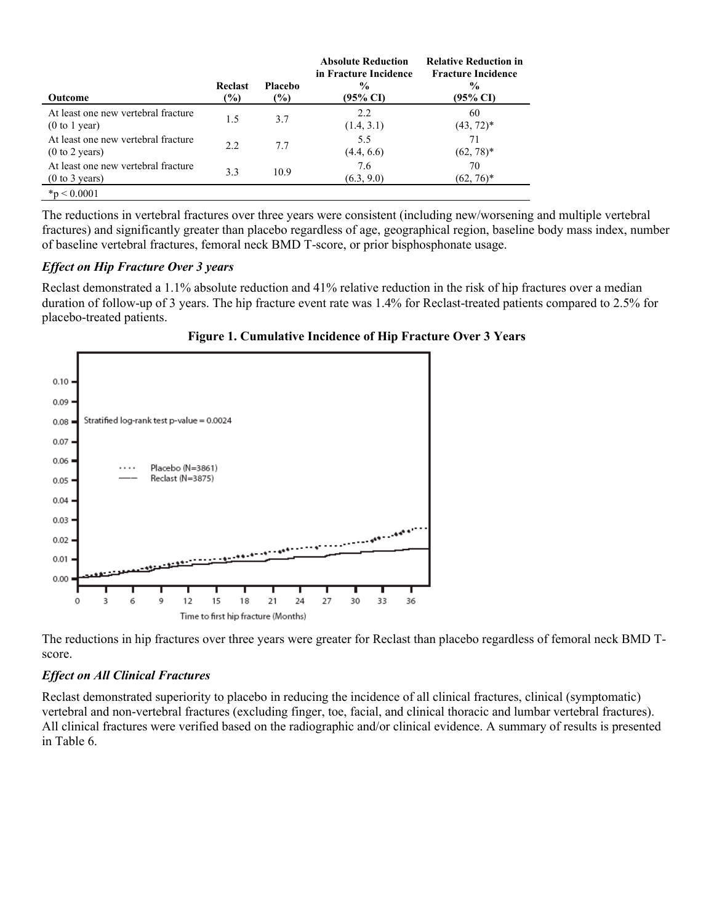| Outcome                                                                  | Reclast<br>$(\%)$ | Placebo<br>(%) | <b>Absolute Reduction</b><br>in Fracture Incidence<br>$\frac{0}{0}$<br>(95% CI) | <b>Relative Reduction in</b><br><b>Fracture Incidence</b><br>$\frac{6}{9}$<br>(95% CI) |
|--------------------------------------------------------------------------|-------------------|----------------|---------------------------------------------------------------------------------|----------------------------------------------------------------------------------------|
| At least one new vertebral fracture<br>(0 to 1 year)                     | 1.5               | 3.7            | 2.2<br>(1.4, 3.1)                                                               | 60<br>$(43, 72)^*$                                                                     |
| At least one new vertebral fracture<br>(0 to 2 years)                    | 2.2               | 7.7            | 5.5<br>(4.4, 6.6)                                                               | 71<br>$(62, 78)^*$                                                                     |
| At least one new vertebral fracture<br>$(0 \text{ to } 3 \text{ years})$ | 3.3               | 10.9           | 7.6<br>(6.3, 9.0)                                                               | 70<br>$(62, 76)^*$                                                                     |
| $*_p$ < 0.0001                                                           |                   |                |                                                                                 |                                                                                        |

The reductions in vertebral fractures over three years were consistent (including new/worsening and multiple vertebral fractures) and significantly greater than placebo regardless of age, geographical region, baseline body mass index, number of baseline vertebral fractures, femoral neck BMD T-score, or prior bisphosphonate usage.

### *Effect on Hip Fracture Over 3 years*

Reclast demonstrated a 1.1% absolute reduction and 41% relative reduction in the risk of hip fractures over a median duration of follow-up of 3 years. The hip fracture event rate was 1.4% for Reclast-treated patients compared to 2.5% for placebo-treated patients.





The reductions in hip fractures over three years were greater for Reclast than placebo regardless of femoral neck BMD Tscore.

#### *Effect on All Clinical Fractures*

Reclast demonstrated superiority to placebo in reducing the incidence of all clinical fractures, clinical (symptomatic) vertebral and non-vertebral fractures (excluding finger, toe, facial, and clinical thoracic and lumbar vertebral fractures). All clinical fractures were verified based on the radiographic and/or clinical evidence. A summary of results is presented in Table 6.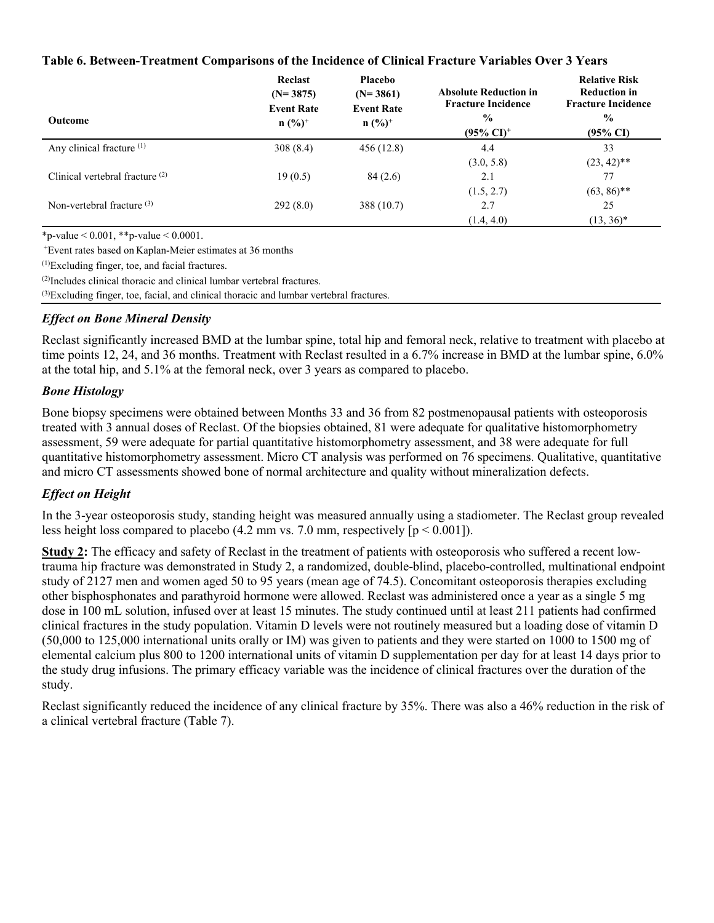#### **Table 6. Between-Treatment Comparisons of the Incidence of Clinical Fracture Variables Over 3 Years**

| Outcome                           | Reclast<br>$(N=3875)$<br><b>Event Rate</b><br>$n (%)^+$ | <b>Placebo</b><br>$(N=3861)$<br><b>Event Rate</b><br>$n (%)^+$ | <b>Absolute Reduction in</b><br><b>Fracture Incidence</b><br>$\frac{0}{0}$<br>$(95\% \text{ Cl})^+$ | <b>Relative Risk</b><br><b>Reduction in</b><br><b>Fracture Incidence</b><br>$\frac{6}{6}$<br>$(95\% \text{ CI})$ |
|-----------------------------------|---------------------------------------------------------|----------------------------------------------------------------|-----------------------------------------------------------------------------------------------------|------------------------------------------------------------------------------------------------------------------|
| Any clinical fracture (1)         | 308(8.4)                                                | 456(12.8)                                                      | 4.4                                                                                                 | 33                                                                                                               |
|                                   |                                                         |                                                                | (3.0, 5.8)                                                                                          | $(23, 42)$ **                                                                                                    |
| Clinical vertebral fracture $(2)$ | 19(0.5)                                                 | 84(2.6)                                                        | 2.1                                                                                                 | 77                                                                                                               |
|                                   |                                                         |                                                                | (1.5, 2.7)                                                                                          | $(63, 86)$ **                                                                                                    |
| Non-vertebral fracture $(3)$      | 292(8.0)                                                | 388 (10.7)                                                     | 2.7                                                                                                 | 25                                                                                                               |
|                                   |                                                         |                                                                | (1.4, 4.0)                                                                                          | $(13, 36)^*$                                                                                                     |
| .<br>.                            |                                                         |                                                                |                                                                                                     |                                                                                                                  |

\*p-value  $< 0.001$ , \*\*p-value  $< 0.0001$ .

<sup>+</sup>Event rates based on Kaplan-Meier estimates at 36 months

(1)Excluding finger, toe, and facial fractures.

(2)Includes clinical thoracic and clinical lumbar vertebral fractures.

(3)Excluding finger, toe, facial, and clinical thoracic and lumbar vertebral fractures.

#### *Effect on Bone Mineral Density*

Reclast significantly increased BMD at the lumbar spine, total hip and femoral neck, relative to treatment with placebo at time points 12, 24, and 36 months. Treatment with Reclast resulted in a 6.7% increase in BMD at the lumbar spine, 6.0% at the total hip, and 5.1% at the femoral neck, over 3 years as compared to placebo.

#### *Bone Histology*

Bone biopsy specimens were obtained between Months 33 and 36 from 82 postmenopausal patients with osteoporosis treated with 3 annual doses of Reclast. Of the biopsies obtained, 81 were adequate for qualitative histomorphometry assessment, 59 were adequate for partial quantitative histomorphometry assessment, and 38 were adequate for full quantitative histomorphometry assessment. Micro CT analysis was performed on 76 specimens. Qualitative, quantitative and micro CT assessments showed bone of normal architecture and quality without mineralization defects.

## *Effect on Height*

In the 3-year osteoporosis study, standing height was measured annually using a stadiometer. The Reclast group revealed less height loss compared to placebo (4.2 mm vs. 7.0 mm, respectively  $[p \le 0.001]$ ).

**Study 2:** The efficacy and safety of Reclast in the treatment of patients with osteoporosis who suffered a recent lowtrauma hip fracture was demonstrated in Study 2, a randomized, double-blind, placebo-controlled, multinational endpoint study of 2127 men and women aged 50 to 95 years (mean age of 74.5). Concomitant osteoporosis therapies excluding other bisphosphonates and parathyroid hormone were allowed. Reclast was administered once a year as a single 5 mg dose in 100 mL solution, infused over at least 15 minutes. The study continued until at least 211 patients had confirmed clinical fractures in the study population. Vitamin D levels were not routinely measured but a loading dose of vitamin D (50,000 to 125,000 international units orally or IM) was given to patients and they were started on 1000 to 1500 mg of elemental calcium plus 800 to 1200 international units of vitamin D supplementation per day for at least 14 days prior to the study drug infusions. The primary efficacy variable was the incidence of clinical fractures over the duration of the study.

Reclast significantly reduced the incidence of any clinical fracture by 35%. There was also a 46% reduction in the risk of a clinical vertebral fracture (Table 7).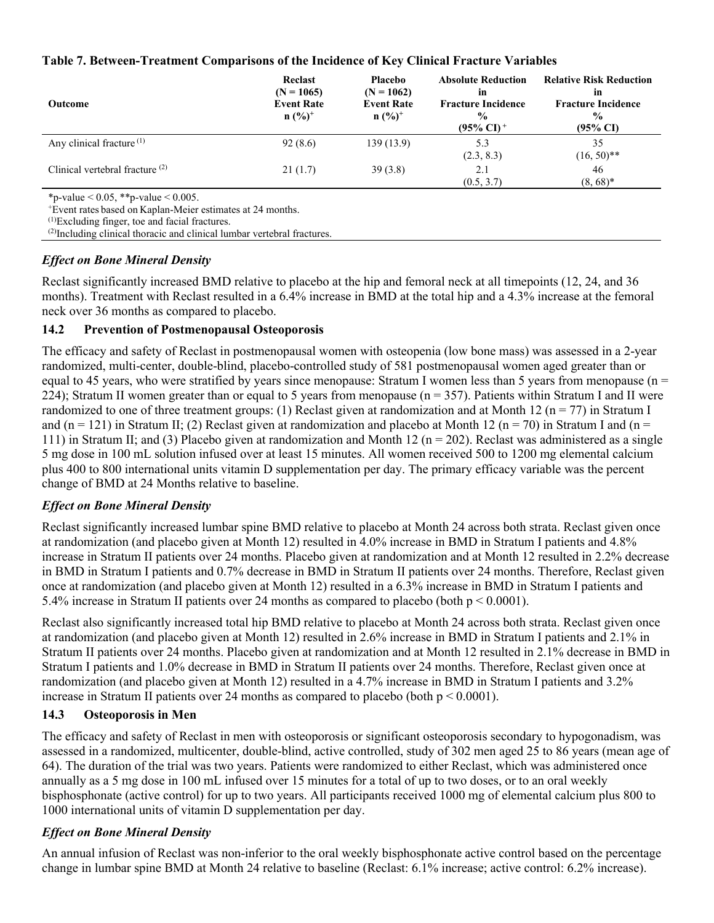#### <span id="page-20-0"></span>**Table 7. Between-Treatment Comparisons of the Incidence of Key Clinical Fracture Variables**

| <b>Outcome</b>                           | Reclast<br>$(N = 1065)$<br><b>Event Rate</b><br>$n (%)^+$ | <b>Placebo</b><br>$(N = 1062)$<br><b>Event Rate</b><br>$n (%)^+$ | <b>Absolute Reduction</b><br>in<br><b>Fracture Incidence</b><br>$\frac{6}{6}$<br>$(95\% \text{ C I})^+$ | <b>Relative Risk Reduction</b><br>in<br><b>Fracture Incidence</b><br>$\frac{6}{9}$<br>$(95\% \text{ CI})$ |
|------------------------------------------|-----------------------------------------------------------|------------------------------------------------------------------|---------------------------------------------------------------------------------------------------------|-----------------------------------------------------------------------------------------------------------|
| Any clinical fracture $(1)$              | 92(8.6)                                                   | 139(13.9)                                                        | 5.3<br>(2.3, 8.3)                                                                                       | 35<br>$(16, 50)$ **                                                                                       |
| Clinical vertebral fracture $(2)$        | 21(1.7)                                                   | 39(3.8)                                                          | 2.1<br>(0.5, 3.7)                                                                                       | 46<br>$(8, 68)^*$                                                                                         |
| $*_{n-volve} < 0.05 *_{n-volve} < 0.005$ |                                                           |                                                                  |                                                                                                         |                                                                                                           |

 $\text{value} < 0.05, \, \text{#p-value} < 0.005.$ 

<sup>+</sup>Event rates based on Kaplan-Meier estimates at 24 months.

(1)Excluding finger, toe and facial fractures.

(2)Including clinical thoracic and clinical lumbar vertebral fractures.

#### *Effect on Bone Mineral Density*

Reclast significantly increased BMD relative to placebo at the hip and femoral neck at all timepoints (12, 24, and 36 months). Treatment with Reclast resulted in a 6.4% increase in BMD at the total hip and a 4.3% increase at the femoral neck over 36 months as compared to placebo.

#### **14.2 Prevention of Postmenopausal Osteoporosis**

The efficacy and safety of Reclast in postmenopausal women with osteopenia (low bone mass) was assessed in a 2-year randomized, multi-center, double-blind, placebo-controlled study of 581 postmenopausal women aged greater than or equal to 45 years, who were stratified by years since menopause: Stratum I women less than 5 years from menopause ( $n =$ 224); Stratum II women greater than or equal to 5 years from menopause ( $n = 357$ ). Patients within Stratum I and II were randomized to one of three treatment groups: (1) Reclast given at randomization and at Month 12 ( $n = 77$ ) in Stratum I and (n = 121) in Stratum II; (2) Reclast given at randomization and placebo at Month 12 (n = 70) in Stratum I and (n = 111) in Stratum II; and (3) Placebo given at randomization and Month 12 ( $n = 202$ ). Reclast was administered as a single 5 mg dose in 100 mL solution infused over at least 15 minutes. All women received 500 to 1200 mg elemental calcium plus 400 to 800 international units vitamin D supplementation per day. The primary efficacy variable was the percent change of BMD at 24 Months relative to baseline.

#### *Effect on Bone Mineral Density*

Reclast significantly increased lumbar spine BMD relative to placebo at Month 24 across both strata. Reclast given once at randomization (and placebo given at Month 12) resulted in 4.0% increase in BMD in Stratum I patients and 4.8% increase in Stratum II patients over 24 months. Placebo given at randomization and at Month 12 resulted in 2.2% decrease in BMD in Stratum I patients and 0.7% decrease in BMD in Stratum II patients over 24 months. Therefore, Reclast given once at randomization (and placebo given at Month 12) resulted in a 6.3% increase in BMD in Stratum I patients and 5.4% increase in Stratum II patients over 24 months as compared to placebo (both p < 0.0001).

Reclast also significantly increased total hip BMD relative to placebo at Month 24 across both strata. Reclast given once at randomization (and placebo given at Month 12) resulted in 2.6% increase in BMD in Stratum I patients and 2.1% in Stratum II patients over 24 months. Placebo given at randomization and at Month 12 resulted in 2.1% decrease in BMD in Stratum I patients and 1.0% decrease in BMD in Stratum II patients over 24 months. Therefore, Reclast given once at randomization (and placebo given at Month 12) resulted in a 4.7% increase in BMD in Stratum I patients and 3.2% increase in Stratum II patients over 24 months as compared to placebo (both  $p < 0.0001$ ).

#### **14.3 Osteoporosis in Men**

The efficacy and safety of Reclast in men with osteoporosis or significant osteoporosis secondary to hypogonadism, was assessed in a randomized, multicenter, double-blind, active controlled, study of 302 men aged 25 to 86 years (mean age of 64). The duration of the trial was two years. Patients were randomized to either Reclast, which was administered once annually as a 5 mg dose in 100 mL infused over 15 minutes for a total of up to two doses, or to an oral weekly bisphosphonate (active control) for up to two years. All participants received 1000 mg of elemental calcium plus 800 to 1000 international units of vitamin D supplementation per day.

#### *Effect on Bone Mineral Density*

An annual infusion of Reclast was non-inferior to the oral weekly bisphosphonate active control based on the percentage change in lumbar spine BMD at Month 24 relative to baseline (Reclast: 6.1% increase; active control: 6.2% increase).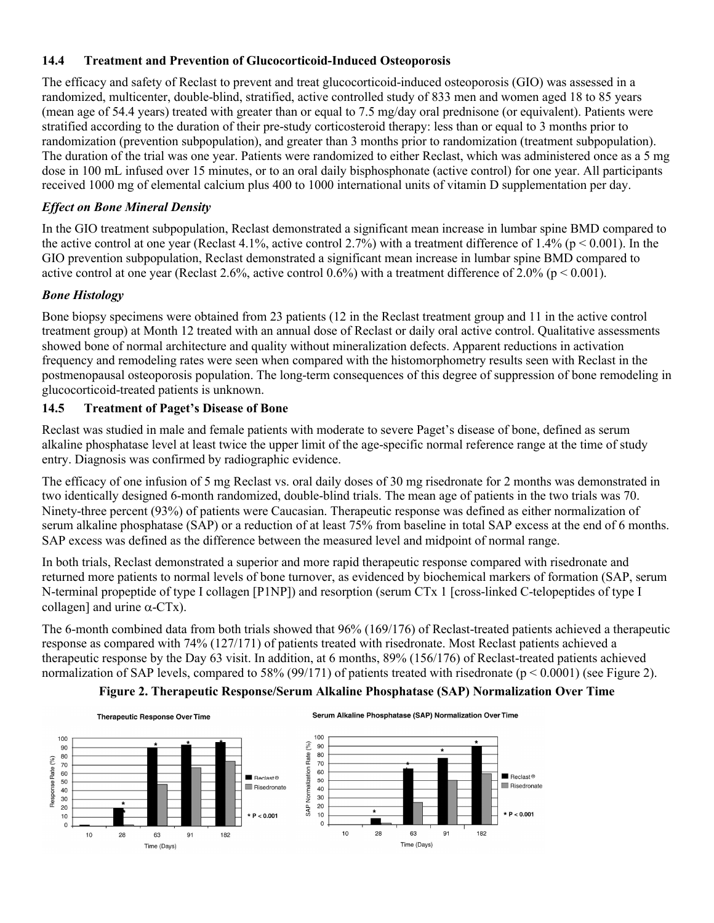### <span id="page-21-0"></span>**14.4 Treatment and Prevention of Glucocorticoid-Induced Osteoporosis**

The efficacy and safety of Reclast to prevent and treat glucocorticoid-induced osteoporosis (GIO) was assessed in a randomized, multicenter, double-blind, stratified, active controlled study of 833 men and women aged 18 to 85 years (mean age of 54.4 years) treated with greater than or equal to 7.5 mg/day oral prednisone (or equivalent). Patients were stratified according to the duration of their pre-study corticosteroid therapy: less than or equal to 3 months prior to randomization (prevention subpopulation), and greater than 3 months prior to randomization (treatment subpopulation). The duration of the trial was one year. Patients were randomized to either Reclast, which was administered once as a 5 mg dose in 100 mL infused over 15 minutes, or to an oral daily bisphosphonate (active control) for one year. All participants received 1000 mg of elemental calcium plus 400 to 1000 international units of vitamin D supplementation per day.

### *Effect on Bone Mineral Density*

In the GIO treatment subpopulation, Reclast demonstrated a significant mean increase in lumbar spine BMD compared to the active control at one year (Reclast 4.1%, active control 2.7%) with a treatment difference of 1.4% ( $p < 0.001$ ). In the GIO prevention subpopulation, Reclast demonstrated a significant mean increase in lumbar spine BMD compared to active control at one year (Reclast 2.6%, active control  $0.6\%$ ) with a treatment difference of  $2.0\%$  (p < 0.001).

## *Bone Histology*

Bone biopsy specimens were obtained from 23 patients (12 in the Reclast treatment group and 11 in the active control treatment group) at Month 12 treated with an annual dose of Reclast or daily oral active control. Qualitative assessments showed bone of normal architecture and quality without mineralization defects. Apparent reductions in activation frequency and remodeling rates were seen when compared with the histomorphometry results seen with Reclast in the postmenopausal osteoporosis population. The long-term consequences of this degree of suppression of bone remodeling in glucocorticoid-treated patients is unknown.

### **14.5 Treatment of Paget's Disease of Bone**

Reclast was studied in male and female patients with moderate to severe Paget's disease of bone, defined as serum alkaline phosphatase level at least twice the upper limit of the age-specific normal reference range at the time of study entry. Diagnosis was confirmed by radiographic evidence.

The efficacy of one infusion of 5 mg Reclast vs. oral daily doses of 30 mg risedronate for 2 months was demonstrated in two identically designed 6-month randomized, double-blind trials. The mean age of patients in the two trials was 70. Ninety-three percent (93%) of patients were Caucasian. Therapeutic response was defined as either normalization of serum alkaline phosphatase (SAP) or a reduction of at least 75% from baseline in total SAP excess at the end of 6 months. SAP excess was defined as the difference between the measured level and midpoint of normal range.

In both trials, Reclast demonstrated a superior and more rapid therapeutic response compared with risedronate and returned more patients to normal levels of bone turnover, as evidenced by biochemical markers of formation (SAP, serum N-terminal propeptide of type I collagen [P1NP]) and resorption (serum CTx 1 [cross-linked C-telopeptides of type I collagen] and urine  $\alpha$ -CTx).

The 6-month combined data from both trials showed that 96% (169/176) of Reclast-treated patients achieved a therapeutic response as compared with 74% (127/171) of patients treated with risedronate. Most Reclast patients achieved a therapeutic response by the Day 63 visit. In addition, at 6 months, 89% (156/176) of Reclast-treated patients achieved normalization of SAP levels, compared to 58% (99/171) of patients treated with risedronate ( $p < 0.0001$ ) (see Figure 2).

#### **Figure 2. Therapeutic Response/Serum Alkaline Phosphatase (SAP) Normalization Over Time**

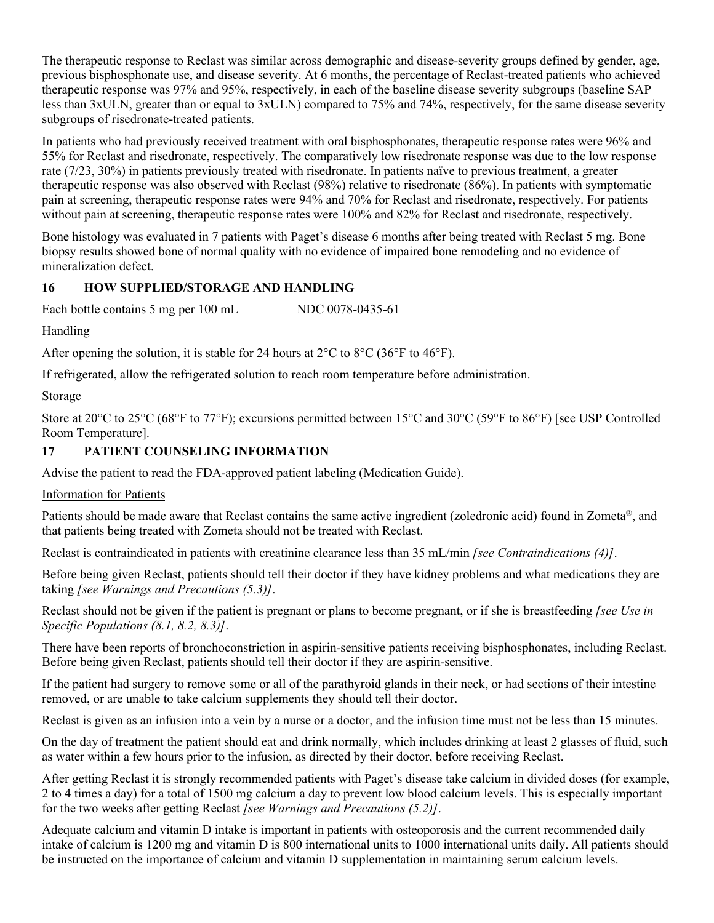<span id="page-22-0"></span>The therapeutic response to Reclast was similar across demographic and disease-severity groups defined by gender, age, previous bisphosphonate use, and disease severity. At 6 months, the percentage of Reclast-treated patients who achieved therapeutic response was 97% and 95%, respectively, in each of the baseline disease severity subgroups (baseline SAP less than 3xULN, greater than or equal to 3xULN) compared to 75% and 74%, respectively, for the same disease severity subgroups of risedronate-treated patients.

In patients who had previously received treatment with oral bisphosphonates, therapeutic response rates were 96% and 55% for Reclast and risedronate, respectively. The comparatively low risedronate response was due to the low response rate (7/23, 30%) in patients previously treated with risedronate. In patients naïve to previous treatment, a greater therapeutic response was also observed with Reclast (98%) relative to risedronate (86%). In patients with symptomatic pain at screening, therapeutic response rates were 94% and 70% for Reclast and risedronate, respectively. For patients without pain at screening, therapeutic response rates were 100% and 82% for Reclast and risedronate, respectively.

Bone histology was evaluated in 7 patients with Paget's disease 6 months after being treated with Reclast 5 mg. Bone biopsy results showed bone of normal quality with no evidence of impaired bone remodeling and no evidence of mineralization defect.

### **16 HOW SUPPLIED/STORAGE AND HANDLING**

Each bottle contains 5 mg per 100 mL NDC 0078-0435-61

#### Handling

After opening the solution, it is stable for 24 hours at  $2^{\circ}C$  to  $8^{\circ}C$  (36°F to 46°F).

If refrigerated, allow the refrigerated solution to reach room temperature before administration.

#### **Storage**

Store at 20°C to 25°C (68°F to 77°F); excursions permitted between 15°C and 30°C (59°F to 86°F) [see USP Controlled Room Temperature].

### **17 PATIENT COUNSELING INFORMATION**

Advise the patient to read the FDA-approved patient labeling (Medication Guide).

#### Information for Patients

Patients should be made aware that Reclast contains the same active ingredient (zoledronic acid) found in Zometa®, and that patients being treated with Zometa should not be treated with Reclast.

Reclast is contraindicated in patients with creatinine clearance less than 35 mL/min *[see Contraindications (4)]*.

Before being given Reclast, patients should tell their doctor if they have kidney problems and what medications they are taking *[see Warnings and Precautions (5.3)]*.

Reclast should not be given if the patient is pregnant or plans to become pregnant, or if she is breastfeeding *[see Use in Specific Populations (8.1, 8.2, 8.3)]*.

There have been reports of bronchoconstriction in aspirin-sensitive patients receiving bisphosphonates, including Reclast. Before being given Reclast, patients should tell their doctor if they are aspirin-sensitive.

If the patient had surgery to remove some or all of the parathyroid glands in their neck, or had sections of their intestine removed, or are unable to take calcium supplements they should tell their doctor.

Reclast is given as an infusion into a vein by a nurse or a doctor, and the infusion time must not be less than 15 minutes.

On the day of treatment the patient should eat and drink normally, which includes drinking at least 2 glasses of fluid, such as water within a few hours prior to the infusion, as directed by their doctor, before receiving Reclast.

After getting Reclast it is strongly recommended patients with Paget's disease take calcium in divided doses (for example, 2 to 4 times a day) for a total of 1500 mg calcium a day to prevent low blood calcium levels. This is especially important for the two weeks after getting Reclast *[see Warnings and Precautions (5.2)]*.

Adequate calcium and vitamin D intake is important in patients with osteoporosis and the current recommended daily intake of calcium is 1200 mg and vitamin D is 800 international units to 1000 international units daily. All patients should be instructed on the importance of calcium and vitamin D supplementation in maintaining serum calcium levels.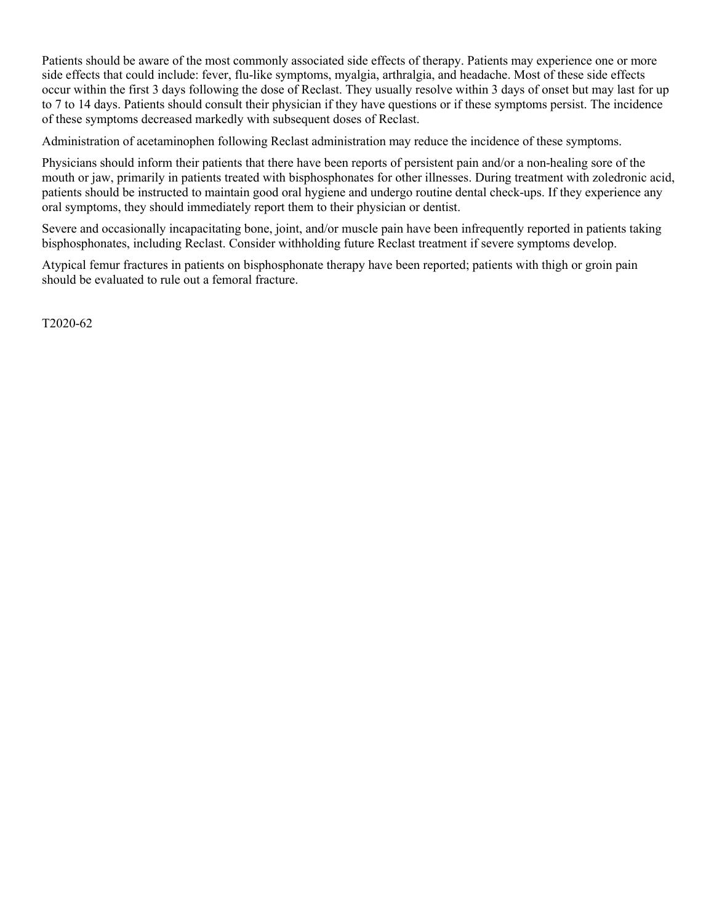Patients should be aware of the most commonly associated side effects of therapy. Patients may experience one or more side effects that could include: fever, flu-like symptoms, myalgia, arthralgia, and headache. Most of these side effects occur within the first 3 days following the dose of Reclast. They usually resolve within 3 days of onset but may last for up to 7 to 14 days. Patients should consult their physician if they have questions or if these symptoms persist. The incidence of these symptoms decreased markedly with subsequent doses of Reclast.

Administration of acetaminophen following Reclast administration may reduce the incidence of these symptoms.

Physicians should inform their patients that there have been reports of persistent pain and/or a non-healing sore of the mouth or jaw, primarily in patients treated with bisphosphonates for other illnesses. During treatment with zoledronic acid, patients should be instructed to maintain good oral hygiene and undergo routine dental check-ups. If they experience any oral symptoms, they should immediately report them to their physician or dentist.

Severe and occasionally incapacitating bone, joint, and/or muscle pain have been infrequently reported in patients taking bisphosphonates, including Reclast. Consider withholding future Reclast treatment if severe symptoms develop.

Atypical femur fractures in patients on bisphosphonate therapy have been reported; patients with thigh or groin pain should be evaluated to rule out a femoral fracture.

T2020-62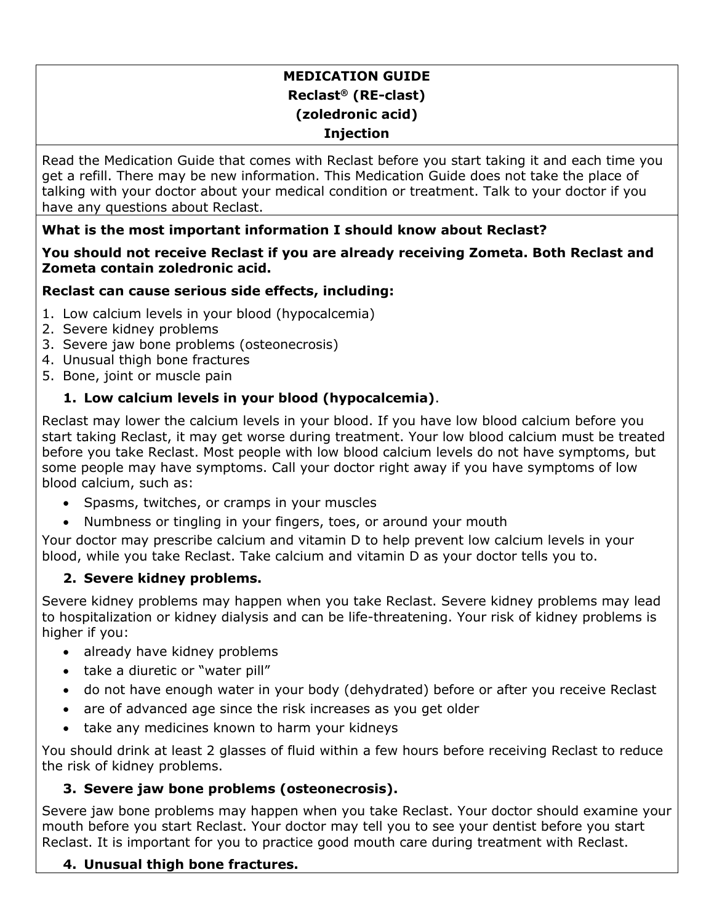# **MEDICATION GUIDE Reclast® (RE-clast) (zoledronic acid) Injection**

Read the Medication Guide that comes with Reclast before you start taking it and each time you get a refill. There may be new information. This Medication Guide does not take the place of talking with your doctor about your medical condition or treatment. Talk to your doctor if you have any questions about Reclast.

# **What is the most important information I should know about Reclast?**

## **You should not receive Reclast if you are already receiving Zometa. Both Reclast and Zometa contain zoledronic acid.**

## **Reclast can cause serious side effects, including:**

- 1. Low calcium levels in your blood (hypocalcemia)
- 2. Severe kidney problems
- 3. Severe jaw bone problems (osteonecrosis)
- 4. Unusual thigh bone fractures
- 5. Bone, joint or muscle pain

## **1. Low calcium levels in your blood (hypocalcemia)**.

Reclast may lower the calcium levels in your blood. If you have low blood calcium before you start taking Reclast, it may get worse during treatment. Your low blood calcium must be treated before you take Reclast. Most people with low blood calcium levels do not have symptoms, but some people may have symptoms. Call your doctor right away if you have symptoms of low blood calcium, such as:

- Spasms, twitches, or cramps in your muscles
- Numbness or tingling in your fingers, toes, or around your mouth

Your doctor may prescribe calcium and vitamin D to help prevent low calcium levels in your blood, while you take Reclast. Take calcium and vitamin D as your doctor tells you to.

## **2. Severe kidney problems.**

Severe kidney problems may happen when you take Reclast. Severe kidney problems may lead to hospitalization or kidney dialysis and can be life-threatening. Your risk of kidney problems is higher if you:

- already have kidney problems
- take a diuretic or "water pill"
- do not have enough water in your body (dehydrated) before or after you receive Reclast
- are of advanced age since the risk increases as you get older
- take any medicines known to harm your kidneys

You should drink at least 2 glasses of fluid within a few hours before receiving Reclast to reduce the risk of kidney problems.

# **3. Severe jaw bone problems (osteonecrosis).**

Severe jaw bone problems may happen when you take Reclast. Your doctor should examine your mouth before you start Reclast. Your doctor may tell you to see your dentist before you start Reclast. It is important for you to practice good mouth care during treatment with Reclast.

# **4. Unusual thigh bone fractures.**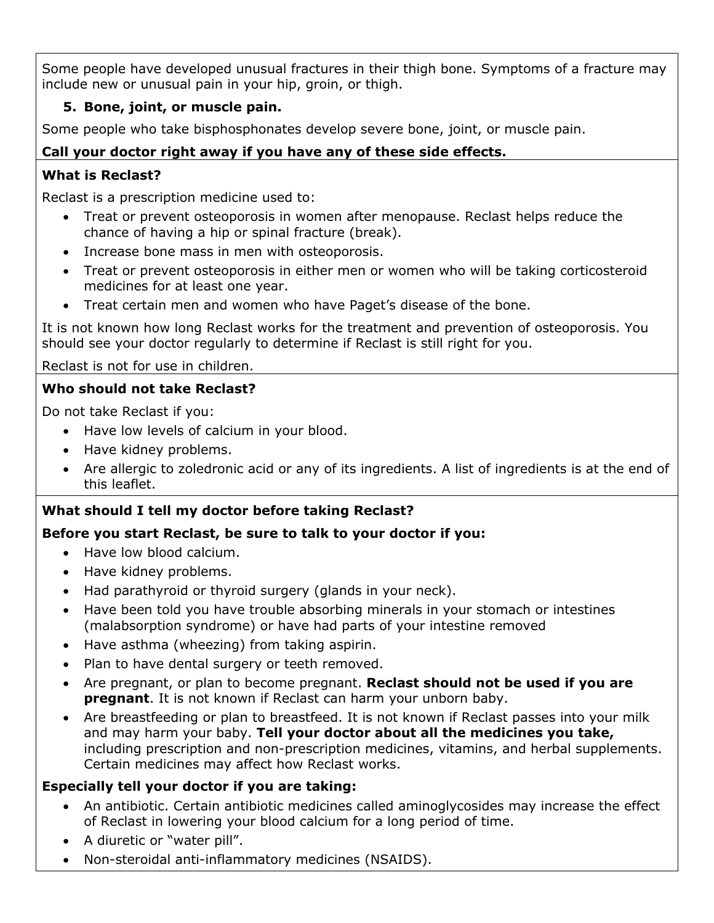Some people have developed unusual fractures in their thigh bone. Symptoms of a fracture may include new or unusual pain in your hip, groin, or thigh.

# **5. Bone, joint, or muscle pain.**

Some people who take bisphosphonates develop severe bone, joint, or muscle pain.

# **Call your doctor right away if you have any of these side effects.**

# **What is Reclast?**

Reclast is a prescription medicine used to:

- Treat or prevent osteoporosis in women after menopause. Reclast helps reduce the chance of having a hip or spinal fracture (break).
- Increase bone mass in men with osteoporosis.
- Treat or prevent osteoporosis in either men or women who will be taking corticosteroid medicines for at least one year.
- Treat certain men and women who have Paget's disease of the bone.

It is not known how long Reclast works for the treatment and prevention of osteoporosis. You should see your doctor regularly to determine if Reclast is still right for you.

# Reclast is not for use in children.

# **Who should not take Reclast?**

Do not take Reclast if you:

- Have low levels of calcium in your blood.
- Have kidney problems.
- Are allergic to zoledronic acid or any of its ingredients. A list of ingredients is at the end of this leaflet.

# **What should I tell my doctor before taking Reclast?**

# **Before you start Reclast, be sure to talk to your doctor if you:**

- Have low blood calcium.
- Have kidney problems.
- Had parathyroid or thyroid surgery (glands in your neck).
- Have been told you have trouble absorbing minerals in your stomach or intestines (malabsorption syndrome) or have had parts of your intestine removed
- Have asthma (wheezing) from taking aspirin.
- Plan to have dental surgery or teeth removed.
- Are pregnant, or plan to become pregnant. **Reclast should not be used if you are pregnant**. It is not known if Reclast can harm your unborn baby.
- Are breastfeeding or plan to breastfeed. It is not known if Reclast passes into your milk and may harm your baby. **Tell your doctor about all the medicines you take,**  including prescription and non-prescription medicines, vitamins, and herbal supplements. Certain medicines may affect how Reclast works.

# **Especially tell your doctor if you are taking:**

- An antibiotic. Certain antibiotic medicines called aminoglycosides may increase the effect of Reclast in lowering your blood calcium for a long period of time.
- A diuretic or "water pill".
- Non-steroidal anti-inflammatory medicines (NSAIDS).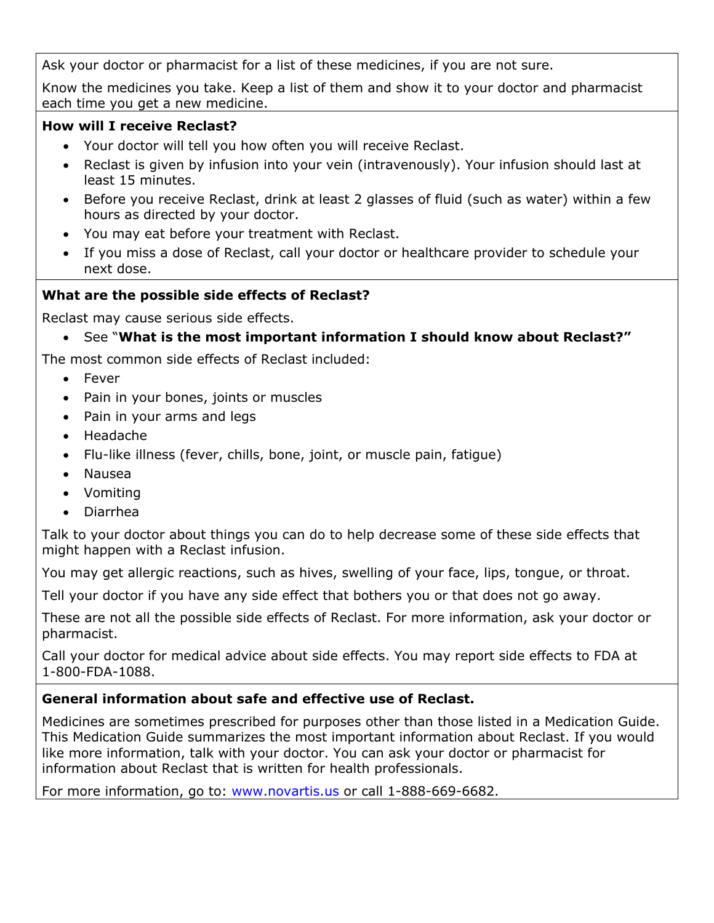Ask your doctor or pharmacist for a list of these medicines, if you are not sure.

Know the medicines you take. Keep a list of them and show it to your doctor and pharmacist each time you get a new medicine.

## **How will I receive Reclast?**

- Your doctor will tell you how often you will receive Reclast.
- Reclast is given by infusion into your vein (intravenously). Your infusion should last at least 15 minutes.
- Before you receive Reclast, drink at least 2 glasses of fluid (such as water) within a few hours as directed by your doctor.
- You may eat before your treatment with Reclast.
- If you miss a dose of Reclast, call your doctor or healthcare provider to schedule your next dose.

## **What are the possible side effects of Reclast?**

Reclast may cause serious side effects.

# See "**What is the most important information I should know about Reclast?"**

The most common side effects of Reclast included:

- Fever
- Pain in your bones, joints or muscles
- Pain in your arms and legs
- Headache
- Flu-like illness (fever, chills, bone, joint, or muscle pain, fatigue)
- Nausea
- Vomiting
- Diarrhea

Talk to your doctor about things you can do to help decrease some of these side effects that might happen with a Reclast infusion.

You may get allergic reactions, such as hives, swelling of your face, lips, tongue, or throat.

Tell your doctor if you have any side effect that bothers you or that does not go away.

These are not all the possible side effects of Reclast. For more information, ask your doctor or pharmacist.

Call your doctor for medical advice about side effects. You may report side effects to FDA at 1-800-FDA-1088.

## **General information about safe and effective use of Reclast.**

Medicines are sometimes prescribed for purposes other than those listed in a Medication Guide. This Medication Guide summarizes the most important information about Reclast. If you would like more information, talk with your doctor. You can ask your doctor or pharmacist for information about Reclast that is written for health professionals.

For more information, go to: [www.novartis.us](http://www.pharma.us.novartis.com) or call 1-888-669-6682.